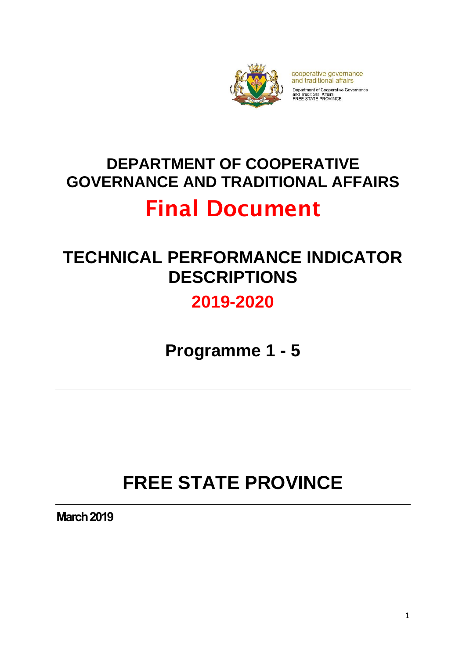

cooperative governance and traditional affairs Department of Cooperative Governance<br>and Traditional Affairs<br>FREE STATE PROVINCE

# **DEPARTMENT OF COOPERATIVE GOVERNANCE AND TRADITIONAL AFFAIRS**

# Final Document

# **TECHNICAL PERFORMANCE INDICATOR DESCRIPTIONS**

# **2019-2020**

**Programme 1 - 5**

# **FREE STATE PROVINCE**

**March 2019**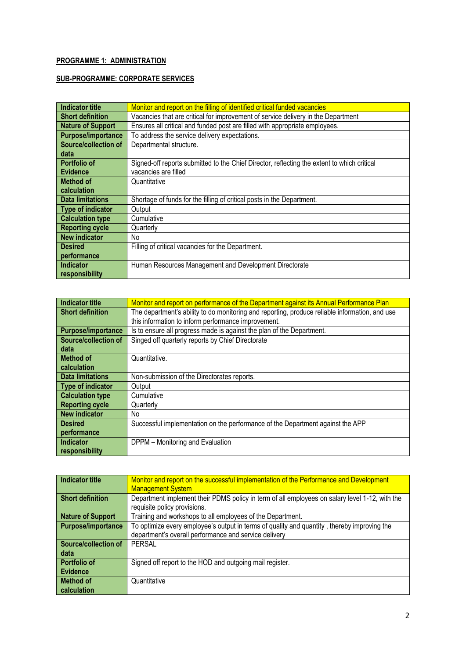#### **PROGRAMME 1: ADMINISTRATION**

#### **SUB-PROGRAMME: CORPORATE SERVICES**

| Indicator title          | Monitor and report on the filling of identified critical funded vacancies                   |
|--------------------------|---------------------------------------------------------------------------------------------|
| <b>Short definition</b>  | Vacancies that are critical for improvement of service delivery in the Department           |
| <b>Nature of Support</b> | Ensures all critical and funded post are filled with appropriate employees.                 |
| Purpose/importance       | To address the service delivery expectations.                                               |
| Source/collection of     | Departmental structure.                                                                     |
| data                     |                                                                                             |
| <b>Portfolio of</b>      | Signed-off reports submitted to the Chief Director, reflecting the extent to which critical |
| <b>Evidence</b>          | vacancies are filled                                                                        |
| Method of                | Quantitative                                                                                |
| calculation              |                                                                                             |
| <b>Data limitations</b>  | Shortage of funds for the filling of critical posts in the Department.                      |
| Type of indicator        | Output                                                                                      |
| <b>Calculation type</b>  | Cumulative                                                                                  |
| <b>Reporting cycle</b>   | Quarterly                                                                                   |
| <b>New indicator</b>     | No.                                                                                         |
| <b>Desired</b>           | Filling of critical vacancies for the Department.                                           |
| performance              |                                                                                             |
| Indicator                | Human Resources Management and Development Directorate                                      |
| responsibility           |                                                                                             |

| Indicator title             | Monitor and report on performance of the Department against its Annual Performance Plan        |
|-----------------------------|------------------------------------------------------------------------------------------------|
| <b>Short definition</b>     | The department's ability to do monitoring and reporting, produce reliable information, and use |
|                             | this information to inform performance improvement.                                            |
| Purpose/importance          | Is to ensure all progress made is against the plan of the Department.                          |
| <b>Source/collection of</b> | Singed off quarterly reports by Chief Directorate                                              |
| data                        |                                                                                                |
| <b>Method of</b>            | Quantitative.                                                                                  |
| calculation                 |                                                                                                |
| <b>Data limitations</b>     | Non-submission of the Directorates reports.                                                    |
| Type of indicator           | Output                                                                                         |
| <b>Calculation type</b>     | Cumulative                                                                                     |
| <b>Reporting cycle</b>      | Quarterly                                                                                      |
| <b>New indicator</b>        | No.                                                                                            |
| <b>Desired</b>              | Successful implementation on the performance of the Department against the APP                 |
| performance                 |                                                                                                |
| Indicator                   | DPPM - Monitoring and Evaluation                                                               |
| responsibility              |                                                                                                |

| <b>Indicator title</b>      | Monitor and report on the successful implementation of the Performance and Development         |
|-----------------------------|------------------------------------------------------------------------------------------------|
|                             | <b>Management System</b>                                                                       |
| <b>Short definition</b>     | Department implement their PDMS policy in term of all employees on salary level 1-12, with the |
|                             | requisite policy provisions.                                                                   |
| <b>Nature of Support</b>    | Training and workshops to all employees of the Department.                                     |
| Purpose/importance          | To optimize every employee's output in terms of quality and quantity, thereby improving the    |
|                             | department's overall performance and service delivery                                          |
| <b>Source/collection of</b> | <b>PERSAL</b>                                                                                  |
| data                        |                                                                                                |
| <b>Portfolio of</b>         | Signed off report to the HOD and outgoing mail register.                                       |
| <b>Evidence</b>             |                                                                                                |
| <b>Method of</b>            | Quantitative                                                                                   |
| calculation                 |                                                                                                |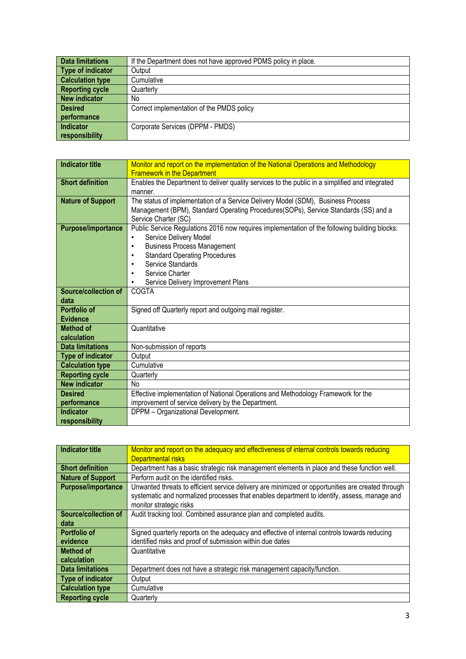| <b>Data limitations</b> | If the Department does not have approved PDMS policy in place. |
|-------------------------|----------------------------------------------------------------|
| Type of indicator       | Output                                                         |
| <b>Calculation type</b> | Cumulative                                                     |
| <b>Reporting cycle</b>  | Quarterly                                                      |
| New indicator           | No                                                             |
| <b>Desired</b>          | Correct implementation of the PMDS policy                      |
| performance             |                                                                |
| Indicator               | Corporate Services (DPPM - PMDS)                               |
| responsibility          |                                                                |

| <b>Indicator title</b>    | Monitor and report on the implementation of the National Operations and Methodology             |
|---------------------------|-------------------------------------------------------------------------------------------------|
|                           | <b>Framework in the Department</b>                                                              |
| <b>Short definition</b>   | Enables the Department to deliver quality services to the public in a simplified and integrated |
|                           | manner.                                                                                         |
| <b>Nature of Support</b>  | The status of implementation of a Service Delivery Model (SDM), Business Process                |
|                           | Management (BPM), Standard Operating Procedures(SOPs), Service Standards (SS) and a             |
|                           | Service Charter (SC)                                                                            |
| <b>Purpose/importance</b> | Public Service Regulations 2016 now requires implementation of the following building blocks:   |
|                           | Service Delivery Model<br>$\bullet$                                                             |
|                           | <b>Business Process Management</b><br>$\bullet$                                                 |
|                           | <b>Standard Operating Procedures</b><br>٠                                                       |
|                           | Service Standards<br>٠                                                                          |
|                           | Service Charter<br>$\bullet$                                                                    |
|                           | Service Delivery Improvement Plans<br>٠                                                         |
| Source/collection of      | COGTA                                                                                           |
| data                      |                                                                                                 |
| Portfolio of              | Signed off Quarterly report and outgoing mail register.                                         |
| <b>Evidence</b>           |                                                                                                 |
| <b>Method of</b>          | Quantitative                                                                                    |
| calculation               |                                                                                                 |
| <b>Data limitations</b>   | Non-submission of reports                                                                       |
| <b>Type of indicator</b>  | Output                                                                                          |
| <b>Calculation type</b>   | Cumulative                                                                                      |
| <b>Reporting cycle</b>    | Quarterly                                                                                       |
| <b>New indicator</b>      | <b>No</b>                                                                                       |
| <b>Desired</b>            | Effective implementation of National Operations and Methodology Framework for the               |
| performance               | improvement of service delivery by the Department.                                              |
| <b>Indicator</b>          | DPPM - Organizational Development.                                                              |
| responsibility            |                                                                                                 |

| Indicator title           | Monitor and report on the adequacy and effectiveness of internal controls towards reducing        |
|---------------------------|---------------------------------------------------------------------------------------------------|
|                           | <b>Departmental risks</b>                                                                         |
| <b>Short definition</b>   | Department has a basic strategic risk management elements in place and these function well.       |
| <b>Nature of Support</b>  | Perform audit on the identified risks.                                                            |
| <b>Purpose/importance</b> | Unwanted threats to efficient service delivery are minimized or opportunities are created through |
|                           | systematic and normalized processes that enables department to identify, assess, manage and       |
|                           | monitor strategic risks                                                                           |
| Source/collection of      | Audit tracking tool. Combined assurance plan and completed audits.                                |
| data                      |                                                                                                   |
| <b>Portfolio of</b>       | Signed quarterly reports on the adequacy and effective of internal controls towards reducing      |
| evidence                  | identified risks and proof of submission within due dates                                         |
| <b>Method of</b>          | Quantitative                                                                                      |
| calculation               |                                                                                                   |
| <b>Data limitations</b>   | Department does not have a strategic risk management capacity/function.                           |
| Type of indicator         | Output                                                                                            |
| <b>Calculation type</b>   | Cumulative                                                                                        |
| <b>Reporting cycle</b>    | Quarterly                                                                                         |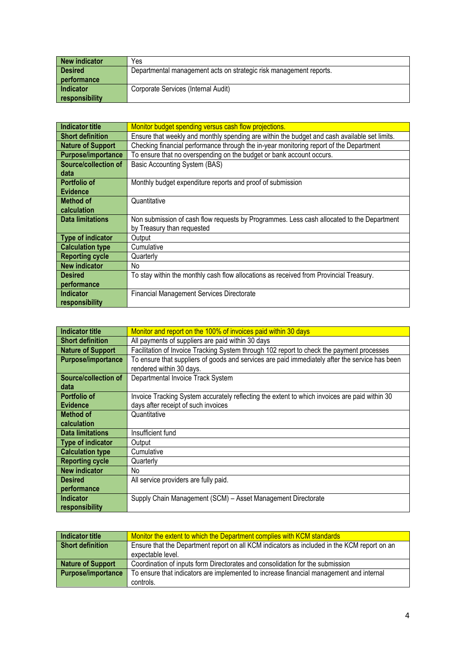| New indicator    | Yes                                                                |
|------------------|--------------------------------------------------------------------|
| <b>Desired</b>   | Departmental management acts on strategic risk management reports. |
| performance      |                                                                    |
| <b>Indicator</b> | Corporate Services (Internal Audit)                                |
| responsibility   |                                                                    |

| <b>Indicator title</b>    | Monitor budget spending versus cash flow projections.                                        |
|---------------------------|----------------------------------------------------------------------------------------------|
| <b>Short definition</b>   | Ensure that weekly and monthly spending are within the budget and cash available set limits. |
| <b>Nature of Support</b>  | Checking financial performance through the in-year monitoring report of the Department       |
| <b>Purpose/importance</b> | To ensure that no overspending on the budget or bank account occurs.                         |
| Source/collection of      | Basic Accounting System (BAS)                                                                |
| data                      |                                                                                              |
| Portfolio of              | Monthly budget expenditure reports and proof of submission                                   |
| <b>Evidence</b>           |                                                                                              |
| <b>Method of</b>          | Quantitative                                                                                 |
| calculation               |                                                                                              |
| <b>Data limitations</b>   | Non submission of cash flow requests by Programmes. Less cash allocated to the Department    |
|                           | by Treasury than requested                                                                   |
| Type of indicator         | Output                                                                                       |
| <b>Calculation type</b>   | Cumulative                                                                                   |
| <b>Reporting cycle</b>    | Quarterly                                                                                    |
| <b>New indicator</b>      | No.                                                                                          |
| <b>Desired</b>            | To stay within the monthly cash flow allocations as received from Provincial Treasury.       |
| performance               |                                                                                              |
| <b>Indicator</b>          | <b>Financial Management Services Directorate</b>                                             |
| responsibility            |                                                                                              |

| Indicator title          | Monitor and report on the 100% of invoices paid within 30 days                                 |
|--------------------------|------------------------------------------------------------------------------------------------|
| <b>Short definition</b>  | All payments of suppliers are paid within 30 days                                              |
| <b>Nature of Support</b> | Facilitation of Invoice Tracking System through 102 report to check the payment processes      |
| Purpose/importance       | To ensure that suppliers of goods and services are paid immediately after the service has been |
|                          | rendered within 30 days.                                                                       |
| Source/collection of     | Departmental Invoice Track System                                                              |
| data                     |                                                                                                |
| Portfolio of             | Invoice Tracking System accurately reflecting the extent to which invoices are paid within 30  |
| <b>Evidence</b>          | days after receipt of such invoices                                                            |
| <b>Method of</b>         | Quantitative                                                                                   |
| calculation              |                                                                                                |
| <b>Data limitations</b>  | Insufficient fund                                                                              |
| Type of indicator        | Output                                                                                         |
| <b>Calculation type</b>  | Cumulative                                                                                     |
| <b>Reporting cycle</b>   | Quarterly                                                                                      |
| <b>New indicator</b>     | No.                                                                                            |
| <b>Desired</b>           | All service providers are fully paid.                                                          |
| performance              |                                                                                                |
| <b>Indicator</b>         | Supply Chain Management (SCM) - Asset Management Directorate                                   |
| responsibility           |                                                                                                |

| <b>Indicator title</b> | Monitor the extent to which the Department complies with KCM standards                      |
|------------------------|---------------------------------------------------------------------------------------------|
| Short definition       | Ensure that the Department report on all KCM indicators as included in the KCM report on an |
|                        | expectable level.                                                                           |
| Nature of Support      | Coordination of inputs form Directorates and consolidation for the submission               |
| Purpose/importance     | To ensure that indicators are implemented to increase financial management and internal     |
|                        | controls.                                                                                   |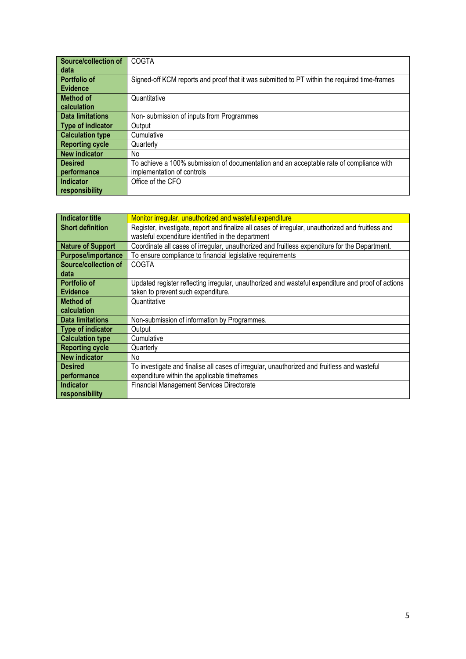| Source/collection of     | COGTA                                                                                        |
|--------------------------|----------------------------------------------------------------------------------------------|
| data                     |                                                                                              |
| Portfolio of             | Signed-off KCM reports and proof that it was submitted to PT within the required time-frames |
| <b>Evidence</b>          |                                                                                              |
| <b>Method of</b>         | Quantitative                                                                                 |
| calculation              |                                                                                              |
| <b>Data limitations</b>  | Non-submission of inputs from Programmes                                                     |
| <b>Type of indicator</b> | Output                                                                                       |
| <b>Calculation type</b>  | Cumulative                                                                                   |
| <b>Reporting cycle</b>   | Quarterly                                                                                    |
| <b>New indicator</b>     | No.                                                                                          |
| <b>Desired</b>           | To achieve a 100% submission of documentation and an acceptable rate of compliance with      |
| performance              | implementation of controls                                                                   |
| Indicator                | Office of the CFO                                                                            |
| responsibility           |                                                                                              |

| Indicator title          | Monitor irregular, unauthorized and wasteful expenditure                                          |
|--------------------------|---------------------------------------------------------------------------------------------------|
| <b>Short definition</b>  | Register, investigate, report and finalize all cases of irregular, unauthorized and fruitless and |
|                          | wasteful expenditure identified in the department                                                 |
| <b>Nature of Support</b> | Coordinate all cases of irregular, unauthorized and fruitless expenditure for the Department.     |
| Purpose/importance       | To ensure compliance to financial legislative requirements                                        |
| Source/collection of     | COGTA                                                                                             |
| data                     |                                                                                                   |
| Portfolio of             | Updated register reflecting irregular, unauthorized and wasteful expenditure and proof of actions |
| <b>Evidence</b>          | taken to prevent such expenditure.                                                                |
| Method of                | Quantitative                                                                                      |
| calculation              |                                                                                                   |
| <b>Data limitations</b>  | Non-submission of information by Programmes.                                                      |
| Type of indicator        | Output                                                                                            |
| <b>Calculation type</b>  | Cumulative                                                                                        |
| <b>Reporting cycle</b>   | Quarterly                                                                                         |
| <b>New indicator</b>     | No.                                                                                               |
| <b>Desired</b>           | To investigate and finalise all cases of irregular, unauthorized and fruitless and wasteful       |
| performance              | expenditure within the applicable timeframes                                                      |
| Indicator                | <b>Financial Management Services Directorate</b>                                                  |
| responsibility           |                                                                                                   |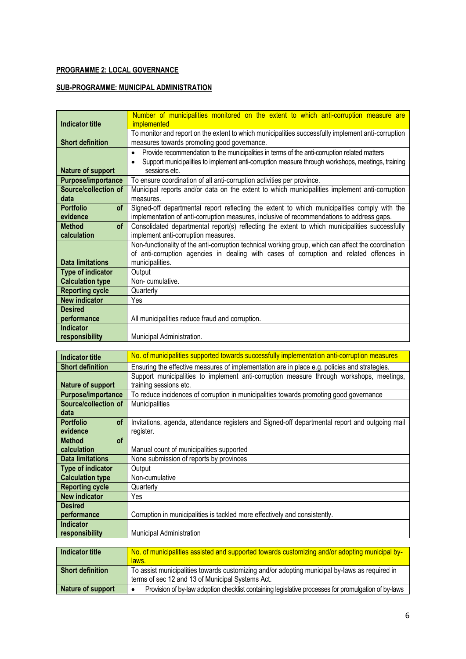## **PROGRAMME 2: LOCAL GOVERNANCE**

## **SUB-PROGRAMME: MUNICIPAL ADMINISTRATION**

|                               | Number of municipalities monitored on the extent to which anti-corruption measure are                     |
|-------------------------------|-----------------------------------------------------------------------------------------------------------|
| <b>Indicator title</b>        | <i>implemented</i>                                                                                        |
|                               | To monitor and report on the extent to which municipalities successfully implement anti-corruption        |
| <b>Short definition</b>       | measures towards promoting good governance.                                                               |
|                               | Provide recommendation to the municipalities in terms of the anti-corruption related matters<br>$\bullet$ |
|                               | Support municipalities to implement anti-corruption measure through workshops, meetings, training<br>٠    |
| <b>Nature of support</b>      | sessions etc.                                                                                             |
| Purpose/importance            | To ensure coordination of all anti-corruption activities per province.                                    |
| Source/collection of          | Municipal reports and/or data on the extent to which municipalities implement anti-corruption             |
| data                          | measures.                                                                                                 |
| <b>Portfolio</b><br><b>of</b> | Signed-off departmental report reflecting the extent to which municipalities comply with the              |
| evidence                      | implementation of anti-corruption measures, inclusive of recommendations to address gaps.                 |
| of<br><b>Method</b>           | Consolidated departmental report(s) reflecting the extent to which municipalities successfully            |
| calculation                   | implement anti-corruption measures.                                                                       |
|                               | Non-functionality of the anti-corruption technical working group, which can affect the coordination       |
|                               | of anti-corruption agencies in dealing with cases of corruption and related offences in                   |
| Data limitations              | municipalities.                                                                                           |
| <b>Type of indicator</b>      | Output                                                                                                    |
| <b>Calculation type</b>       | Non-cumulative.                                                                                           |
| <b>Reporting cycle</b>        | Quarterly                                                                                                 |
| <b>New indicator</b>          | Yes                                                                                                       |
| <b>Desired</b>                |                                                                                                           |
| performance                   | All municipalities reduce fraud and corruption.                                                           |
| <b>Indicator</b>              |                                                                                                           |
| responsibility                | Municipal Administration.                                                                                 |

| <b>Indicator title</b>        | No. of municipalities supported towards successfully implementation anti-corruption measures   |
|-------------------------------|------------------------------------------------------------------------------------------------|
| <b>Short definition</b>       | Ensuring the effective measures of implementation are in place e.g. policies and strategies.   |
|                               | Support municipalities to implement anti-corruption measure through workshops, meetings,       |
| Nature of support             | training sessions etc.                                                                         |
| <b>Purpose/importance</b>     | To reduce incidences of corruption in municipalities towards promoting good governance         |
| Source/collection of          | <b>Municipalities</b>                                                                          |
| data                          |                                                                                                |
| <b>Portfolio</b><br><b>of</b> | Invitations, agenda, attendance registers and Signed-off departmental report and outgoing mail |
| evidence                      | register.                                                                                      |
| <b>of</b><br><b>Method</b>    |                                                                                                |
| calculation                   | Manual count of municipalities supported                                                       |
| <b>Data limitations</b>       | None submission of reports by provinces                                                        |
| Type of indicator             | Output                                                                                         |
| <b>Calculation type</b>       | Non-cumulative                                                                                 |
| <b>Reporting cycle</b>        | Quarterly                                                                                      |
| <b>New indicator</b>          | Yes                                                                                            |
| <b>Desired</b>                |                                                                                                |
| performance                   | Corruption in municipalities is tackled more effectively and consistently.                     |
| <b>Indicator</b>              |                                                                                                |
| responsibility                | <b>Municipal Administration</b>                                                                |

| Indicator title         | No. of municipalities assisted and supported towards customizing and/or adopting municipal by-<br>laws.                                           |
|-------------------------|---------------------------------------------------------------------------------------------------------------------------------------------------|
| <b>Short definition</b> | To assist municipalities towards customizing and/or adopting municipal by-laws as required in<br>terms of sec 12 and 13 of Municipal Systems Act. |
| Nature of support       | Provision of by-law adoption checklist containing legislative processes for promulgation of by-laws                                               |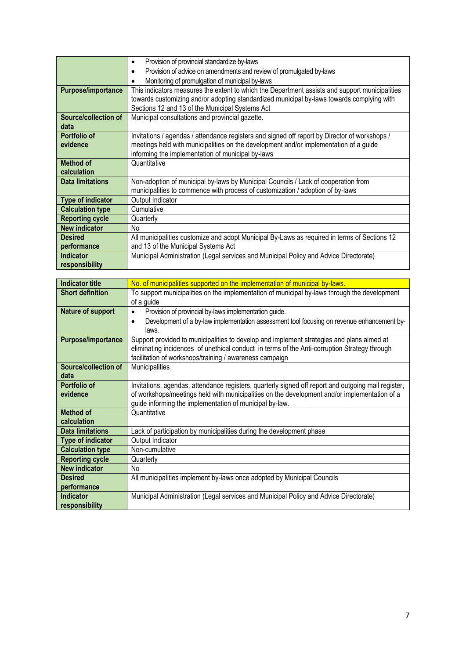|                           | Provision of provincial standardize by-laws<br>$\bullet$                                       |
|---------------------------|------------------------------------------------------------------------------------------------|
|                           | Provision of advice on amendments and review of promulgated by-laws<br>$\bullet$               |
|                           | Monitoring of promulgation of municipal by-laws<br>٠                                           |
| <b>Purpose/importance</b> | This indicators measures the extent to which the Department assists and support municipalities |
|                           | towards customizing and/or adopting standardized municipal by-laws towards complying with      |
|                           | Sections 12 and 13 of the Municipal Systems Act                                                |
| Source/collection of      | Municipal consultations and provincial gazette.                                                |
| data                      |                                                                                                |
| Portfolio of              | Invitations / agendas / attendance registers and signed off report by Director of workshops /  |
| evidence                  | meetings held with municipalities on the development and/or implementation of a guide          |
|                           | informing the implementation of municipal by-laws                                              |
| <b>Method of</b>          | Quantitative                                                                                   |
| calculation               |                                                                                                |
| <b>Data limitations</b>   | Non-adoption of municipal by-laws by Municipal Councils / Lack of cooperation from             |
|                           | municipalities to commence with process of customization / adoption of by-laws                 |
| <b>Type of indicator</b>  | Output Indicator                                                                               |
| <b>Calculation type</b>   | Cumulative                                                                                     |
| <b>Reporting cycle</b>    | Quarterly                                                                                      |
| <b>New indicator</b>      | N <sub>o</sub>                                                                                 |
| <b>Desired</b>            | All municipalities customize and adopt Municipal By-Laws as required in terms of Sections 12   |
| performance               | and 13 of the Municipal Systems Act                                                            |
| <b>Indicator</b>          | Municipal Administration (Legal services and Municipal Policy and Advice Directorate)          |
| responsibility            |                                                                                                |

| <b>Indicator title</b>   | No. of municipalities supported on the implementation of municipal by-laws.                                |
|--------------------------|------------------------------------------------------------------------------------------------------------|
| <b>Short definition</b>  | To support municipalities on the implementation of municipal by-laws through the development<br>of a guide |
| Nature of support        | Provision of provincial by-laws implementation guide.                                                      |
|                          | $\bullet$                                                                                                  |
|                          | Development of a by-law implementation assessment tool focusing on revenue enhancement by-<br>٠<br>laws.   |
|                          |                                                                                                            |
| Purpose/importance       | Support provided to municipalities to develop and implement strategies and plans aimed at                  |
|                          | eliminating incidences of unethical conduct in terms of the Anti-corruption Strategy through               |
|                          | facilitation of workshops/training / awareness campaign                                                    |
| Source/collection of     | Municipalities                                                                                             |
| data                     |                                                                                                            |
| Portfolio of             | Invitations, agendas, attendance registers, quarterly signed off report and outgoing mail register,        |
| evidence                 | of workshops/meetings held with municipalities on the development and/or implementation of a               |
|                          | guide informing the implementation of municipal by-law.                                                    |
| <b>Method of</b>         | Quantitative                                                                                               |
| calculation              |                                                                                                            |
| <b>Data limitations</b>  | Lack of participation by municipalities during the development phase                                       |
| <b>Type of indicator</b> | Output Indicator                                                                                           |
| <b>Calculation type</b>  | Non-cumulative                                                                                             |
| <b>Reporting cycle</b>   | Quarterly                                                                                                  |
| <b>New indicator</b>     | No                                                                                                         |
| <b>Desired</b>           | All municipalities implement by-laws once adopted by Municipal Councils                                    |
| performance              |                                                                                                            |
| <b>Indicator</b>         | Municipal Administration (Legal services and Municipal Policy and Advice Directorate)                      |
| responsibility           |                                                                                                            |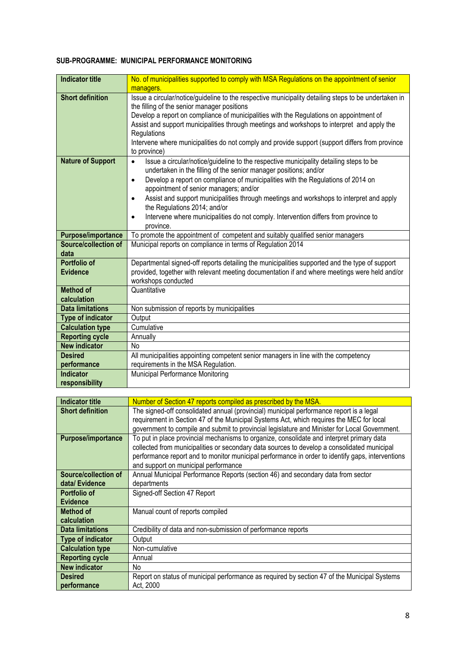#### **SUB-PROGRAMME: MUNICIPAL PERFORMANCE MONITORING**

| <b>Indicator title</b>          | No. of municipalities supported to comply with MSA Regulations on the appointment of senior<br>managers.                                                                                                                                                                                                                                                                                                                                                                                                                                                                     |
|---------------------------------|------------------------------------------------------------------------------------------------------------------------------------------------------------------------------------------------------------------------------------------------------------------------------------------------------------------------------------------------------------------------------------------------------------------------------------------------------------------------------------------------------------------------------------------------------------------------------|
| <b>Short definition</b>         | Issue a circular/notice/guideline to the respective municipality detailing steps to be undertaken in<br>the filling of the senior manager positions<br>Develop a report on compliance of municipalities with the Regulations on appointment of<br>Assist and support municipalities through meetings and workshops to interpret and apply the<br>Regulations<br>Intervene where municipalities do not comply and provide support (support differs from province<br>to province)                                                                                              |
| <b>Nature of Support</b>        | Issue a circular/notice/guideline to the respective municipality detailing steps to be<br>$\bullet$<br>undertaken in the filling of the senior manager positions; and/or<br>Develop a report on compliance of municipalities with the Regulations of 2014 on<br>$\bullet$<br>appointment of senior managers; and/or<br>Assist and support municipalities through meetings and workshops to interpret and apply<br>$\bullet$<br>the Regulations 2014; and/or<br>Intervene where municipalities do not comply. Intervention differs from province to<br>$\bullet$<br>province. |
| <b>Purpose/importance</b>       | To promote the appointment of competent and suitably qualified senior managers                                                                                                                                                                                                                                                                                                                                                                                                                                                                                               |
| Source/collection of<br>data    | Municipal reports on compliance in terms of Regulation 2014                                                                                                                                                                                                                                                                                                                                                                                                                                                                                                                  |
| Portfolio of<br><b>Evidence</b> | Departmental signed-off reports detailing the municipalities supported and the type of support<br>provided, together with relevant meeting documentation if and where meetings were held and/or<br>workshops conducted                                                                                                                                                                                                                                                                                                                                                       |
| <b>Method of</b><br>calculation | Quantitative                                                                                                                                                                                                                                                                                                                                                                                                                                                                                                                                                                 |
| <b>Data limitations</b>         | Non submission of reports by municipalities                                                                                                                                                                                                                                                                                                                                                                                                                                                                                                                                  |
| <b>Type of indicator</b>        | Output                                                                                                                                                                                                                                                                                                                                                                                                                                                                                                                                                                       |
| <b>Calculation type</b>         | Cumulative                                                                                                                                                                                                                                                                                                                                                                                                                                                                                                                                                                   |
| <b>Reporting cycle</b>          | Annually                                                                                                                                                                                                                                                                                                                                                                                                                                                                                                                                                                     |
| <b>New indicator</b>            | No                                                                                                                                                                                                                                                                                                                                                                                                                                                                                                                                                                           |
| <b>Desired</b>                  | All municipalities appointing competent senior managers in line with the competency                                                                                                                                                                                                                                                                                                                                                                                                                                                                                          |
| performance                     | requirements in the MSA Regulation.                                                                                                                                                                                                                                                                                                                                                                                                                                                                                                                                          |
| <b>Indicator</b>                | Municipal Performance Monitoring                                                                                                                                                                                                                                                                                                                                                                                                                                                                                                                                             |
| responsibility                  |                                                                                                                                                                                                                                                                                                                                                                                                                                                                                                                                                                              |

| <b>Indicator title</b>   | Number of Section 47 reports compiled as prescribed by the MSA.                                  |
|--------------------------|--------------------------------------------------------------------------------------------------|
| <b>Short definition</b>  | The signed-off consolidated annual (provincial) municipal performance report is a legal          |
|                          | requirement in Section 47 of the Municipal Systems Act, which requires the MEC for local         |
|                          | government to compile and submit to provincial legislature and Minister for Local Government.    |
| Purpose/importance       | To put in place provincial mechanisms to organize, consolidate and interpret primary data        |
|                          | collected from municipalities or secondary data sources to develop a consolidated municipal      |
|                          | performance report and to monitor municipal performance in order to identify gaps, interventions |
|                          | and support on municipal performance                                                             |
| Source/collection of     | Annual Municipal Performance Reports (section 46) and secondary data from sector                 |
| data/ Evidence           | departments                                                                                      |
| Portfolio of             | Signed-off Section 47 Report                                                                     |
| <b>Evidence</b>          |                                                                                                  |
| Method of                | Manual count of reports compiled                                                                 |
| calculation              |                                                                                                  |
| <b>Data limitations</b>  | Credibility of data and non-submission of performance reports                                    |
| <b>Type of indicator</b> | Output                                                                                           |
| <b>Calculation type</b>  | Non-cumulative                                                                                   |
| <b>Reporting cycle</b>   | Annual                                                                                           |
| <b>New indicator</b>     | No                                                                                               |
| <b>Desired</b>           | Report on status of municipal performance as required by section 47 of the Municipal Systems     |
| performance              | Act, 2000                                                                                        |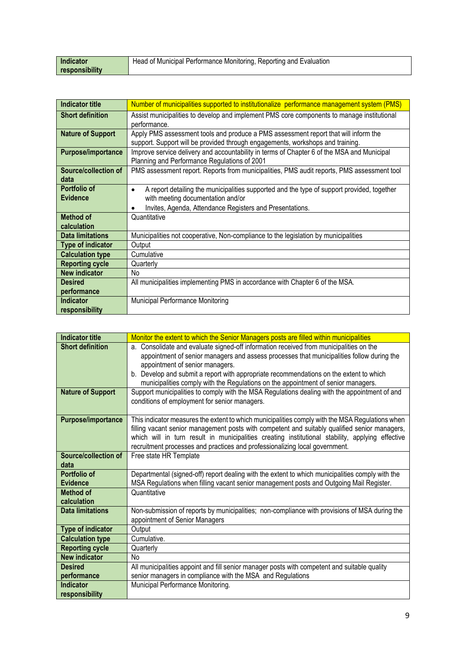| Indicator      | Head of Municipal Performance Monitoring, Reporting and Evaluation |
|----------------|--------------------------------------------------------------------|
| responsibility |                                                                    |

| <b>Indicator title</b>    | Number of municipalities supported to institutionalize performance management system (PMS)              |
|---------------------------|---------------------------------------------------------------------------------------------------------|
| <b>Short definition</b>   | Assist municipalities to develop and implement PMS core components to manage institutional              |
|                           | performance.                                                                                            |
| <b>Nature of Support</b>  | Apply PMS assessment tools and produce a PMS assessment report that will inform the                     |
|                           | support. Support will be provided through engagements, workshops and training.                          |
| <b>Purpose/importance</b> | Improve service delivery and accountability in terms of Chapter 6 of the MSA and Municipal              |
|                           | Planning and Performance Regulations of 2001                                                            |
| Source/collection of      | PMS assessment report. Reports from municipalities, PMS audit reports, PMS assessment tool              |
| data                      |                                                                                                         |
| Portfolio of              | A report detailing the municipalities supported and the type of support provided, together<br>$\bullet$ |
| <b>Evidence</b>           | with meeting documentation and/or                                                                       |
|                           | Invites, Agenda, Attendance Registers and Presentations.<br>٠                                           |
| <b>Method of</b>          | Quantitative                                                                                            |
| calculation               |                                                                                                         |
| <b>Data limitations</b>   | Municipalities not cooperative, Non-compliance to the legislation by municipalities                     |
| <b>Type of indicator</b>  | Output                                                                                                  |
| <b>Calculation type</b>   | Cumulative                                                                                              |
| <b>Reporting cycle</b>    | Quarterly                                                                                               |
| <b>New indicator</b>      | No                                                                                                      |
| <b>Desired</b>            | All municipalities implementing PMS in accordance with Chapter 6 of the MSA.                            |
| performance               |                                                                                                         |
| <b>Indicator</b>          | Municipal Performance Monitoring                                                                        |
| responsibility            |                                                                                                         |

| <b>Indicator title</b>    | Monitor the extent to which the Senior Managers posts are filled within municipalities           |
|---------------------------|--------------------------------------------------------------------------------------------------|
| <b>Short definition</b>   | a. Consolidate and evaluate signed-off information received from municipalities on the           |
|                           | appointment of senior managers and assess processes that municipalities follow during the        |
|                           | appointment of senior managers.                                                                  |
|                           | b. Develop and submit a report with appropriate recommendations on the extent to which           |
|                           | municipalities comply with the Regulations on the appointment of senior managers.                |
| <b>Nature of Support</b>  | Support municipalities to comply with the MSA Regulations dealing with the appointment of and    |
|                           | conditions of employment for senior managers.                                                    |
|                           |                                                                                                  |
| <b>Purpose/importance</b> | This indicator measures the extent to which municipalities comply with the MSA Regulations when  |
|                           | filling vacant senior management posts with competent and suitably qualified senior managers,    |
|                           | which will in turn result in municipalities creating institutional stability, applying effective |
|                           | recruitment processes and practices and professionalizing local government.                      |
| Source/collection of      | Free state HR Template                                                                           |
| data                      |                                                                                                  |
| <b>Portfolio of</b>       | Departmental (signed-off) report dealing with the extent to which municipalities comply with the |
| <b>Evidence</b>           | MSA Regulations when filling vacant senior management posts and Outgoing Mail Register.          |
| Method of                 | Quantitative                                                                                     |
| calculation               |                                                                                                  |
| <b>Data limitations</b>   | Non-submission of reports by municipalities; non-compliance with provisions of MSA during the    |
|                           | appointment of Senior Managers                                                                   |
| <b>Type of indicator</b>  | Output                                                                                           |
| <b>Calculation type</b>   | Cumulative.                                                                                      |
| <b>Reporting cycle</b>    | Quarterly                                                                                        |
| <b>New indicator</b>      | <b>No</b>                                                                                        |
| <b>Desired</b>            | All municipalities appoint and fill senior manager posts with competent and suitable quality     |
| performance               | senior managers in compliance with the MSA and Regulations                                       |
| <b>Indicator</b>          | Municipal Performance Monitoring.                                                                |
| responsibility            |                                                                                                  |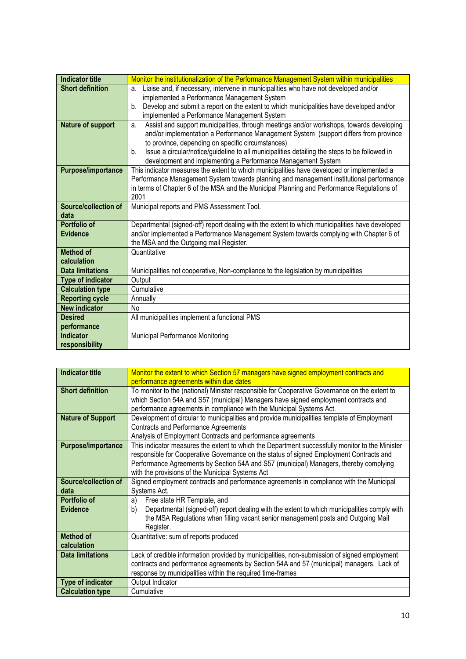| <b>Indicator title</b>   | Monitor the institutionalization of the Performance Management System within municipalities         |
|--------------------------|-----------------------------------------------------------------------------------------------------|
| <b>Short definition</b>  | Liaise and, if necessary, intervene in municipalities who have not developed and/or<br>a.           |
|                          | implemented a Performance Management System                                                         |
|                          | Develop and submit a report on the extent to which municipalities have developed and/or<br>b.       |
|                          | implemented a Performance Management System                                                         |
| <b>Nature of support</b> | Assist and support municipalities, through meetings and/or workshops, towards developing<br>a.      |
|                          | and/or implementation a Performance Management System (support differs from province                |
|                          | to province, depending on specific circumstances)                                                   |
|                          | Issue a circular/notice/guideline to all municipalities detailing the steps to be followed in<br>b. |
|                          | development and implementing a Performance Management System                                        |
| Purpose/importance       | This indicator measures the extent to which municipalities have developed or implemented a          |
|                          | Performance Management System towards planning and management institutional performance             |
|                          | in terms of Chapter 6 of the MSA and the Municipal Planning and Performance Regulations of          |
|                          | 2001                                                                                                |
| Source/collection of     | Municipal reports and PMS Assessment Tool.                                                          |
| data                     |                                                                                                     |
| Portfolio of             | Departmental (signed-off) report dealing with the extent to which municipalities have developed     |
| <b>Evidence</b>          | and/or implemented a Performance Management System towards complying with Chapter 6 of              |
|                          | the MSA and the Outgoing mail Register.                                                             |
| <b>Method of</b>         | Quantitative                                                                                        |
| calculation              |                                                                                                     |
| <b>Data limitations</b>  | Municipalities not cooperative, Non-compliance to the legislation by municipalities                 |
| <b>Type of indicator</b> | Output                                                                                              |
| <b>Calculation type</b>  | Cumulative                                                                                          |
| <b>Reporting cycle</b>   | Annually                                                                                            |
| <b>New indicator</b>     | <b>No</b>                                                                                           |
| <b>Desired</b>           | All municipalities implement a functional PMS                                                       |
| performance              |                                                                                                     |
| <b>Indicator</b>         | Municipal Performance Monitoring                                                                    |
| responsibility           |                                                                                                     |

| <b>Indicator title</b>    | Monitor the extent to which Section 57 managers have signed employment contracts and               |
|---------------------------|----------------------------------------------------------------------------------------------------|
|                           | performance agreements within due dates                                                            |
| <b>Short definition</b>   | To monitor to the (national) Minister responsible for Cooperative Governance on the extent to      |
|                           | which Section 54A and S57 (municipal) Managers have signed employment contracts and                |
|                           | performance agreements in compliance with the Municipal Systems Act.                               |
| <b>Nature of Support</b>  | Development of circular to municipalities and provide municipalities template of Employment        |
|                           | <b>Contracts and Performance Agreements</b>                                                        |
|                           | Analysis of Employment Contracts and performance agreements                                        |
| <b>Purpose/importance</b> | This indicator measures the extent to which the Department successfully monitor to the Minister    |
|                           | responsible for Cooperative Governance on the status of signed Employment Contracts and            |
|                           | Performance Agreements by Section 54A and S57 (municipal) Managers, thereby complying              |
|                           | with the provisions of the Municipal Systems Act                                                   |
| Source/collection of      | Signed employment contracts and performance agreements in compliance with the Municipal            |
| data                      | Systems Act.                                                                                       |
| Portfolio of              | Free state HR Template, and<br>a)                                                                  |
| <b>Evidence</b>           | Departmental (signed-off) report dealing with the extent to which municipalities comply with<br>b) |
|                           | the MSA Regulations when filling vacant senior management posts and Outgoing Mail                  |
|                           | Register.                                                                                          |
| <b>Method of</b>          | Quantitative: sum of reports produced                                                              |
| calculation               |                                                                                                    |
| <b>Data limitations</b>   | Lack of credible information provided by municipalities, non-submission of signed employment       |
|                           | contracts and performance agreements by Section 54A and 57 (municipal) managers. Lack of           |
|                           | response by municipalities within the required time-frames                                         |
| Type of indicator         | Output Indicator                                                                                   |
| <b>Calculation type</b>   | Cumulative                                                                                         |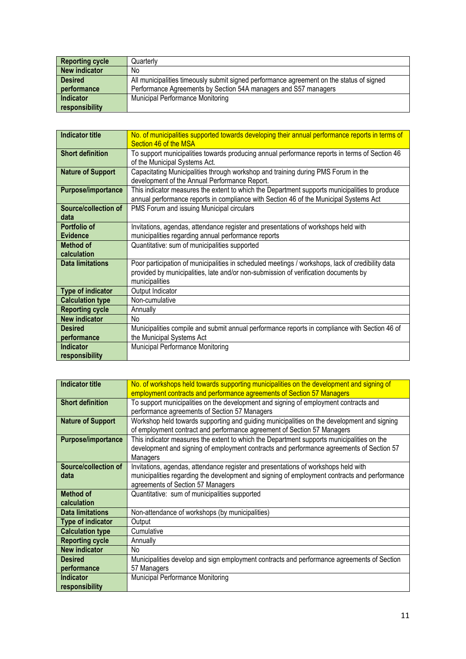| <b>Reporting cycle</b> | Quarterly                                                                                |
|------------------------|------------------------------------------------------------------------------------------|
| New indicator          | No                                                                                       |
| <b>Desired</b>         | All municipalities timeously submit signed performance agreement on the status of signed |
| performance            | Performance Agreements by Section 54A managers and S57 managers                          |
| Indicator              | <b>Municipal Performance Monitoring</b>                                                  |
| responsibility         |                                                                                          |

| <b>Indicator title</b>          | No. of municipalities supported towards developing their annual performance reports in terms of<br>Section 46 of the MSA                                                                                  |
|---------------------------------|-----------------------------------------------------------------------------------------------------------------------------------------------------------------------------------------------------------|
| <b>Short definition</b>         | To support municipalities towards producing annual performance reports in terms of Section 46<br>of the Municipal Systems Act.                                                                            |
| <b>Nature of Support</b>        | Capacitating Municipalities through workshop and training during PMS Forum in the<br>development of the Annual Performance Report.                                                                        |
| Purpose/importance              | This indicator measures the extent to which the Department supports municipalities to produce<br>annual performance reports in compliance with Section 46 of the Municipal Systems Act                    |
| Source/collection of<br>data    | PMS Forum and issuing Municipal circulars                                                                                                                                                                 |
| Portfolio of<br><b>Evidence</b> | Invitations, agendas, attendance register and presentations of workshops held with<br>municipalities regarding annual performance reports                                                                 |
| <b>Method of</b><br>calculation | Quantitative: sum of municipalities supported                                                                                                                                                             |
| <b>Data limitations</b>         | Poor participation of municipalities in scheduled meetings / workshops, lack of credibility data<br>provided by municipalities, late and/or non-submission of verification documents by<br>municipalities |
| <b>Type of indicator</b>        | Output Indicator                                                                                                                                                                                          |
| <b>Calculation type</b>         | Non-cumulative                                                                                                                                                                                            |
| <b>Reporting cycle</b>          | Annually                                                                                                                                                                                                  |
| <b>New indicator</b>            | N <sub>o</sub>                                                                                                                                                                                            |
| <b>Desired</b>                  | Municipalities compile and submit annual performance reports in compliance with Section 46 of                                                                                                             |
| performance                     | the Municipal Systems Act                                                                                                                                                                                 |
| <b>Indicator</b>                | Municipal Performance Monitoring                                                                                                                                                                          |
| responsibility                  |                                                                                                                                                                                                           |

| Indicator title           | No. of workshops held towards supporting municipalities on the development and signing of    |
|---------------------------|----------------------------------------------------------------------------------------------|
|                           | employment contracts and performance agreements of Section 57 Managers                       |
| <b>Short definition</b>   | To support municipalities on the development and signing of employment contracts and         |
|                           | performance agreements of Section 57 Managers                                                |
| <b>Nature of Support</b>  | Workshop held towards supporting and guiding municipalities on the development and signing   |
|                           | of employment contract and performance agreement of Section 57 Managers                      |
| <b>Purpose/importance</b> | This indicator measures the extent to which the Department supports municipalities on the    |
|                           | development and signing of employment contracts and performance agreements of Section 57     |
|                           | Managers                                                                                     |
| Source/collection of      | Invitations, agendas, attendance register and presentations of workshops held with           |
| data                      | municipalities regarding the development and signing of employment contracts and performance |
|                           | agreements of Section 57 Managers                                                            |
| <b>Method of</b>          | Quantitative: sum of municipalities supported                                                |
| calculation               |                                                                                              |
| <b>Data limitations</b>   | Non-attendance of workshops (by municipalities)                                              |
| <b>Type of indicator</b>  | Output                                                                                       |
| <b>Calculation type</b>   | Cumulative                                                                                   |
| <b>Reporting cycle</b>    | Annually                                                                                     |
| <b>New indicator</b>      | N <sub>o</sub>                                                                               |
| <b>Desired</b>            | Municipalities develop and sign employment contracts and performance agreements of Section   |
| performance               | 57 Managers                                                                                  |
| <b>Indicator</b>          | Municipal Performance Monitoring                                                             |
| responsibility            |                                                                                              |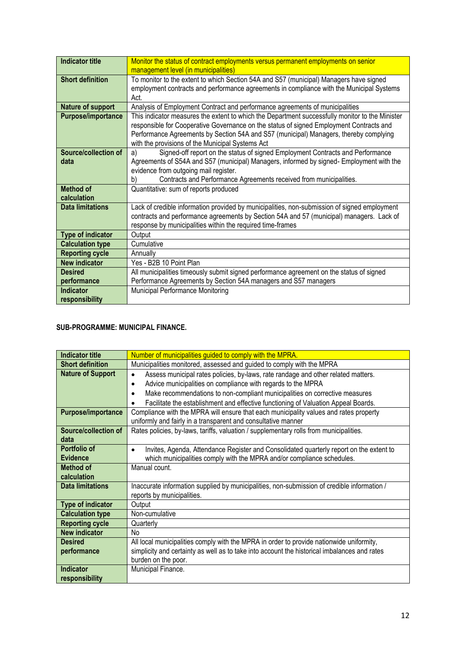| <b>Indicator title</b>  | Monitor the status of contract employments versus permanent employments on senior               |
|-------------------------|-------------------------------------------------------------------------------------------------|
|                         | management level (in municipalities)                                                            |
| <b>Short definition</b> | To monitor to the extent to which Section 54A and S57 (municipal) Managers have signed          |
|                         | employment contracts and performance agreements in compliance with the Municipal Systems        |
|                         | Act.                                                                                            |
|                         |                                                                                                 |
| Nature of support       | Analysis of Employment Contract and performance agreements of municipalities                    |
| Purpose/importance      | This indicator measures the extent to which the Department successfully monitor to the Minister |
|                         | responsible for Cooperative Governance on the status of signed Employment Contracts and         |
|                         | Performance Agreements by Section 54A and S57 (municipal) Managers, thereby complying           |
|                         | with the provisions of the Municipal Systems Act                                                |
| Source/collection of    | Signed-off report on the status of signed Employment Contracts and Performance<br>a)            |
|                         |                                                                                                 |
| data                    | Agreements of S54A and S57 (municipal) Managers, informed by signed- Employment with the        |
|                         | evidence from outgoing mail register.                                                           |
|                         | Contracts and Performance Agreements received from municipalities.<br>b)                        |
| <b>Method of</b>        | Quantitative: sum of reports produced                                                           |
| calculation             |                                                                                                 |
| <b>Data limitations</b> | Lack of credible information provided by municipalities, non-submission of signed employment    |
|                         | contracts and performance agreements by Section 54A and 57 (municipal) managers. Lack of        |
|                         | response by municipalities within the required time-frames                                      |
| Type of indicator       | Output                                                                                          |
|                         | Cumulative                                                                                      |
| <b>Calculation type</b> |                                                                                                 |
| <b>Reporting cycle</b>  | Annually                                                                                        |
| <b>New indicator</b>    | Yes - B2B 10 Point Plan                                                                         |
| <b>Desired</b>          | All municipalities timeously submit signed performance agreement on the status of signed        |
| performance             | Performance Agreements by Section 54A managers and S57 managers                                 |
| <b>Indicator</b>        | Municipal Performance Monitoring                                                                |
| responsibility          |                                                                                                 |

#### **SUB-PROGRAMME: MUNICIPAL FINANCE.**

| <b>Indicator title</b>   | Number of municipalities guided to comply with the MPRA.                                             |
|--------------------------|------------------------------------------------------------------------------------------------------|
| <b>Short definition</b>  | Municipalities monitored, assessed and guided to comply with the MPRA                                |
| <b>Nature of Support</b> | Assess municipal rates policies, by-laws, rate randage and other related matters.<br>$\bullet$       |
|                          | Advice municipalities on compliance with regards to the MPRA<br>٠                                    |
|                          | Make recommendations to non-compliant municipalities on corrective measures<br>$\bullet$             |
|                          | Facilitate the establishment and effective functioning of Valuation Appeal Boards.                   |
| Purpose/importance       | Compliance with the MPRA will ensure that each municipality values and rates property                |
|                          | uniformly and fairly in a transparent and consultative manner                                        |
| Source/collection of     | Rates policies, by-laws, tariffs, valuation / supplementary rolls from municipalities.               |
| data                     |                                                                                                      |
| Portfolio of             | Invites, Agenda, Attendance Register and Consolidated quarterly report on the extent to<br>$\bullet$ |
| <b>Evidence</b>          | which municipalities comply with the MPRA and/or compliance schedules.                               |
| <b>Method of</b>         | Manual count.                                                                                        |
| calculation              |                                                                                                      |
| <b>Data limitations</b>  | Inaccurate information supplied by municipalities, non-submission of credible information /          |
|                          | reports by municipalities.                                                                           |
| Type of indicator        | Output                                                                                               |
| <b>Calculation type</b>  | Non-cumulative                                                                                       |
| <b>Reporting cycle</b>   | Quarterly                                                                                            |
| <b>New indicator</b>     | N <sub>o</sub>                                                                                       |
| <b>Desired</b>           | All local municipalities comply with the MPRA in order to provide nationwide uniformity,             |
| performance              | simplicity and certainty as well as to take into account the historical imbalances and rates         |
|                          | burden on the poor.                                                                                  |
| <b>Indicator</b>         | Municipal Finance.                                                                                   |
| responsibility           |                                                                                                      |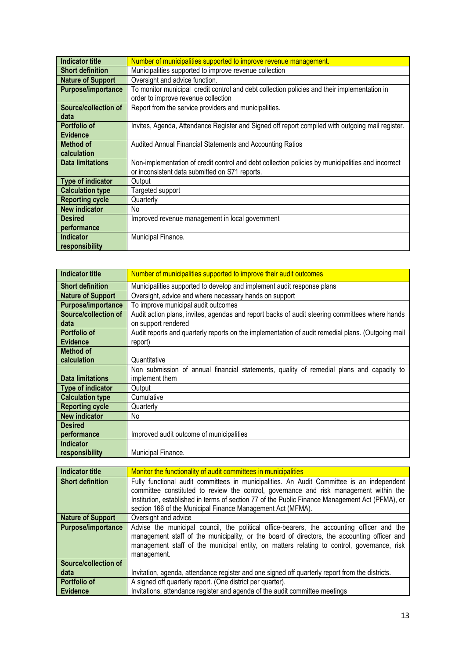| Indicator title          | Number of municipalities supported to improve revenue management.                                 |
|--------------------------|---------------------------------------------------------------------------------------------------|
| <b>Short definition</b>  | Municipalities supported to improve revenue collection                                            |
| <b>Nature of Support</b> | Oversight and advice function.                                                                    |
| Purpose/importance       | To monitor municipal credit control and debt collection policies and their implementation in      |
|                          | order to improve revenue collection                                                               |
| Source/collection of     | Report from the service providers and municipalities.                                             |
| data                     |                                                                                                   |
| Portfolio of             | Invites, Agenda, Attendance Register and Signed off report compiled with outgoing mail register.  |
| <b>Evidence</b>          |                                                                                                   |
| <b>Method of</b>         | Audited Annual Financial Statements and Accounting Ratios                                         |
| calculation              |                                                                                                   |
| <b>Data limitations</b>  | Non-implementation of credit control and debt collection policies by municipalities and incorrect |
|                          | or inconsistent data submitted on S71 reports.                                                    |
| <b>Type of indicator</b> | Output                                                                                            |
| <b>Calculation type</b>  | Targeted support                                                                                  |
| <b>Reporting cycle</b>   | Quarterly                                                                                         |
| <b>New indicator</b>     | No                                                                                                |
| <b>Desired</b>           | Improved revenue management in local government                                                   |
| performance              |                                                                                                   |
| <b>Indicator</b>         | Municipal Finance.                                                                                |
| responsibility           |                                                                                                   |

| <b>Indicator title</b>    | Number of municipalities supported to improve their audit outcomes                                |
|---------------------------|---------------------------------------------------------------------------------------------------|
| <b>Short definition</b>   | Municipalities supported to develop and implement audit response plans                            |
| <b>Nature of Support</b>  | Oversight, advice and where necessary hands on support                                            |
| <b>Purpose/importance</b> | To improve municipal audit outcomes                                                               |
| Source/collection of      | Audit action plans, invites, agendas and report backs of audit steering committees where hands    |
| data                      | on support rendered                                                                               |
| <b>Portfolio of</b>       | Audit reports and quarterly reports on the implementation of audit remedial plans. (Outgoing mail |
| <b>Evidence</b>           | report)                                                                                           |
| Method of                 |                                                                                                   |
| calculation               | Quantitative                                                                                      |
|                           | Non submission of annual financial statements, quality of remedial plans and capacity to          |
| <b>Data limitations</b>   | implement them                                                                                    |
| <b>Type of indicator</b>  | Output                                                                                            |
| <b>Calculation type</b>   | Cumulative                                                                                        |
| <b>Reporting cycle</b>    | Quarterly                                                                                         |
| <b>New indicator</b>      | No.                                                                                               |
| <b>Desired</b>            |                                                                                                   |
| performance               | Improved audit outcome of municipalities                                                          |
| <b>Indicator</b>          |                                                                                                   |
| responsibility            | Municipal Finance.                                                                                |

| Indicator title          | Monitor the functionality of audit committees in municipalities                                 |
|--------------------------|-------------------------------------------------------------------------------------------------|
| <b>Short definition</b>  | Fully functional audit committees in municipalities. An Audit Committee is an independent       |
|                          | committee constituted to review the control, governance and risk management within the          |
|                          | Institution, established in terms of section 77 of the Public Finance Management Act (PFMA), or |
|                          | section 166 of the Municipal Finance Management Act (MFMA).                                     |
| <b>Nature of Support</b> | Oversight and advice                                                                            |
| Purpose/importance       | Advise the municipal council, the political office-bearers, the accounting officer and the      |
|                          | management staff of the municipality, or the board of directors, the accounting officer and     |
|                          | management staff of the municipal entity, on matters relating to control, governance, risk      |
|                          | management.                                                                                     |
| Source/collection of     |                                                                                                 |
| data                     | Invitation, agenda, attendance register and one signed off quarterly report from the districts. |
| <b>Portfolio of</b>      | A signed off quarterly report. (One district per quarter).                                      |
| <b>Evidence</b>          | Invitations, attendance register and agenda of the audit committee meetings                     |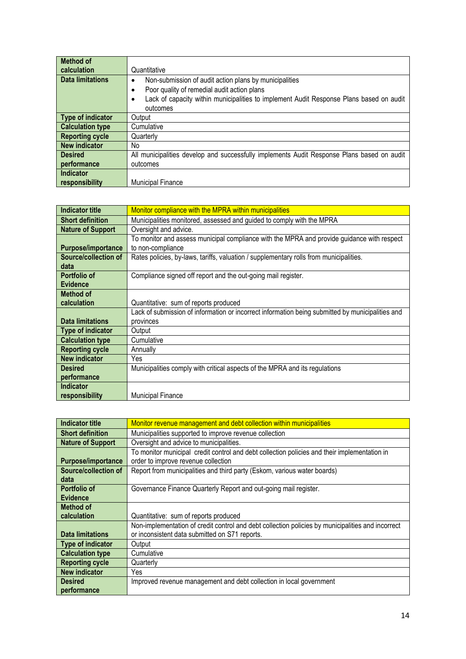| <b>Method of</b>        |                                                                                            |
|-------------------------|--------------------------------------------------------------------------------------------|
| calculation             | Quantitative                                                                               |
| <b>Data limitations</b> | Non-submission of audit action plans by municipalities                                     |
|                         | Poor quality of remedial audit action plans<br>٠                                           |
|                         | Lack of capacity within municipalities to implement Audit Response Plans based on audit    |
|                         | outcomes                                                                                   |
| Type of indicator       | Output                                                                                     |
| <b>Calculation type</b> | Cumulative                                                                                 |
| <b>Reporting cycle</b>  | Quarterly                                                                                  |
| New indicator           | No.                                                                                        |
| <b>Desired</b>          | All municipalities develop and successfully implements Audit Response Plans based on audit |
| performance             | outcomes                                                                                   |
| Indicator               |                                                                                            |
| responsibility          | <b>Municipal Finance</b>                                                                   |

| Indicator title             | Monitor compliance with the MPRA within municipalities                                           |
|-----------------------------|--------------------------------------------------------------------------------------------------|
| <b>Short definition</b>     | Municipalities monitored, assessed and guided to comply with the MPRA                            |
| <b>Nature of Support</b>    | Oversight and advice.                                                                            |
|                             | To monitor and assess municipal compliance with the MPRA and provide guidance with respect       |
| <b>Purpose/importance</b>   | to non-compliance                                                                                |
| <b>Source/collection of</b> | Rates policies, by-laws, tariffs, valuation / supplementary rolls from municipalities.           |
| data                        |                                                                                                  |
| Portfolio of                | Compliance signed off report and the out-going mail register.                                    |
| <b>Evidence</b>             |                                                                                                  |
| <b>Method of</b>            |                                                                                                  |
| calculation                 | Quantitative: sum of reports produced                                                            |
|                             | Lack of submission of information or incorrect information being submitted by municipalities and |
| <b>Data limitations</b>     | provinces                                                                                        |
| <b>Type of indicator</b>    | Output                                                                                           |
| <b>Calculation type</b>     | Cumulative                                                                                       |
| <b>Reporting cycle</b>      | Annually                                                                                         |
| <b>New indicator</b>        | Yes                                                                                              |
| <b>Desired</b>              | Municipalities comply with critical aspects of the MPRA and its regulations                      |
| performance                 |                                                                                                  |
| <b>Indicator</b>            |                                                                                                  |
| responsibility              | <b>Municipal Finance</b>                                                                         |

| Indicator title           | Monitor revenue management and debt collection within municipalities                              |
|---------------------------|---------------------------------------------------------------------------------------------------|
| <b>Short definition</b>   | Municipalities supported to improve revenue collection                                            |
| <b>Nature of Support</b>  | Oversight and advice to municipalities.                                                           |
|                           | To monitor municipal credit control and debt collection policies and their implementation in      |
| <b>Purpose/importance</b> | order to improve revenue collection                                                               |
| Source/collection of      | Report from municipalities and third party (Eskom, various water boards)                          |
| data                      |                                                                                                   |
| Portfolio of              | Governance Finance Quarterly Report and out-going mail register.                                  |
| <b>Evidence</b>           |                                                                                                   |
| <b>Method of</b>          |                                                                                                   |
| calculation               | Quantitative: sum of reports produced                                                             |
|                           | Non-implementation of credit control and debt collection policies by municipalities and incorrect |
| <b>Data limitations</b>   | or inconsistent data submitted on S71 reports.                                                    |
| Type of indicator         | Output                                                                                            |
| <b>Calculation type</b>   | Cumulative                                                                                        |
| <b>Reporting cycle</b>    | Quarterly                                                                                         |
| <b>New indicator</b>      | Yes                                                                                               |
| <b>Desired</b>            | Improved revenue management and debt collection in local government                               |
| performance               |                                                                                                   |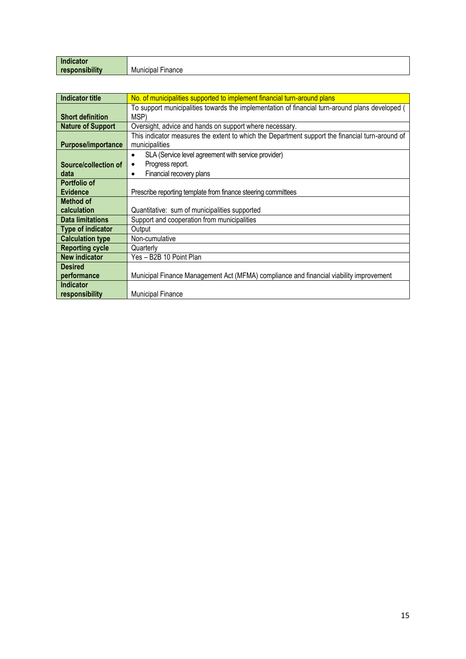| .<br>Indicator              |           |
|-----------------------------|-----------|
| <b><i><u>BELLER</u></i></b> | Municipal |
| responsibility              | ⊢ınance   |

| Indicator title          | No. of municipalities supported to implement financial turn-around plans                        |
|--------------------------|-------------------------------------------------------------------------------------------------|
|                          | To support municipalities towards the implementation of financial turn-around plans developed ( |
| <b>Short definition</b>  | MSP)                                                                                            |
| <b>Nature of Support</b> | Oversight, advice and hands on support where necessary.                                         |
|                          | This indicator measures the extent to which the Department support the financial turn-around of |
| Purpose/importance       | municipalities                                                                                  |
|                          | SLA (Service level agreement with service provider)<br>٠                                        |
| Source/collection of     | Progress report.<br>٠                                                                           |
| data                     | Financial recovery plans<br>٠                                                                   |
| <b>Portfolio of</b>      |                                                                                                 |
| <b>Evidence</b>          | Prescribe reporting template from finance steering committees                                   |
| Method of                |                                                                                                 |
| calculation              | Quantitative: sum of municipalities supported                                                   |
| <b>Data limitations</b>  | Support and cooperation from municipalities                                                     |
| Type of indicator        | Output                                                                                          |
| <b>Calculation type</b>  | Non-cumulative                                                                                  |
| <b>Reporting cycle</b>   | Quarterly                                                                                       |
| <b>New indicator</b>     | Yes - B2B 10 Point Plan                                                                         |
| <b>Desired</b>           |                                                                                                 |
| performance              | Municipal Finance Management Act (MFMA) compliance and financial viability improvement          |
| <b>Indicator</b>         |                                                                                                 |
| responsibility           | <b>Municipal Finance</b>                                                                        |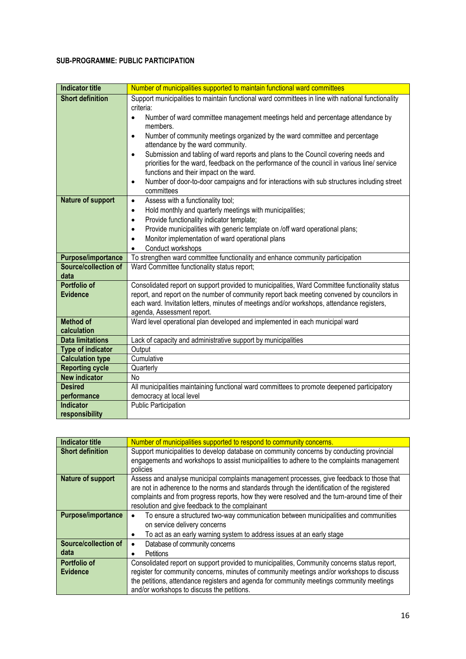#### **SUB-PROGRAMME: PUBLIC PARTICIPATION**

| <b>Indicator title</b>          | Number of municipalities supported to maintain functional ward committees                               |
|---------------------------------|---------------------------------------------------------------------------------------------------------|
| <b>Short definition</b>         | Support municipalities to maintain functional ward committees in line with national functionality       |
|                                 | criteria:                                                                                               |
|                                 | Number of ward committee management meetings held and percentage attendance by<br>$\bullet$             |
|                                 | members.<br>Number of community meetings organized by the ward committee and percentage<br>$\bullet$    |
|                                 | attendance by the ward community.                                                                       |
|                                 | Submission and tabling of ward reports and plans to the Council covering needs and<br>$\bullet$         |
|                                 | priorities for the ward, feedback on the performance of the council in various line/ service            |
|                                 | functions and their impact on the ward.                                                                 |
|                                 | Number of door-to-door campaigns and for interactions with sub structures including street<br>$\bullet$ |
|                                 | committees                                                                                              |
| <b>Nature of support</b>        | Assess with a functionality tool;<br>$\bullet$                                                          |
|                                 | Hold monthly and quarterly meetings with municipalities;<br>$\bullet$                                   |
|                                 | Provide functionality indicator template;<br>$\bullet$                                                  |
|                                 | Provide municipalities with generic template on /off ward operational plans;<br>$\bullet$               |
|                                 | Monitor implementation of ward operational plans<br>$\bullet$<br>Conduct workshops                      |
| <b>Purpose/importance</b>       | $\bullet$<br>To strengthen ward committee functionality and enhance community participation             |
| Source/collection of            |                                                                                                         |
| data                            | Ward Committee functionality status report;                                                             |
| <b>Portfolio of</b>             | Consolidated report on support provided to municipalities, Ward Committee functionality status          |
| <b>Evidence</b>                 | report, and report on the number of community report back meeting convened by councilors in             |
|                                 | each ward. Invitation letters, minutes of meetings and/or workshops, attendance registers,              |
|                                 | agenda, Assessment report.                                                                              |
| <b>Method of</b><br>calculation | Ward level operational plan developed and implemented in each municipal ward                            |
| <b>Data limitations</b>         | Lack of capacity and administrative support by municipalities                                           |
| Type of indicator               | Output                                                                                                  |
| <b>Calculation type</b>         | Cumulative                                                                                              |
| <b>Reporting cycle</b>          | Quarterly                                                                                               |
| <b>New indicator</b>            | No                                                                                                      |
| <b>Desired</b>                  | All municipalities maintaining functional ward committees to promote deepened participatory             |
| performance                     | democracy at local level                                                                                |
| <b>Indicator</b>                | <b>Public Participation</b>                                                                             |
| responsibility                  |                                                                                                         |

| <b>Indicator title</b>    | Number of municipalities supported to respond to community concerns.                                                                                                                                                                                                                                                                           |
|---------------------------|------------------------------------------------------------------------------------------------------------------------------------------------------------------------------------------------------------------------------------------------------------------------------------------------------------------------------------------------|
| <b>Short definition</b>   | Support municipalities to develop database on community concerns by conducting provincial<br>engagements and workshops to assist municipalities to adhere to the complaints management<br>policies                                                                                                                                             |
| Nature of support         | Assess and analyse municipal complaints management processes, give feedback to those that<br>are not in adherence to the norms and standards through the identification of the registered<br>complaints and from progress reports, how they were resolved and the turn-around time of their<br>resolution and give feedback to the complainant |
| <b>Purpose/importance</b> | To ensure a structured two-way communication between municipalities and communities<br>on service delivery concerns<br>To act as an early warning system to address issues at an early stage<br>٠                                                                                                                                              |
| Source/collection of      | Database of community concerns<br>٠                                                                                                                                                                                                                                                                                                            |
| data                      | Petitions                                                                                                                                                                                                                                                                                                                                      |
| Portfolio of              | Consolidated report on support provided to municipalities, Community concerns status report,                                                                                                                                                                                                                                                   |
| <b>Evidence</b>           | register for community concerns, minutes of community meetings and/or workshops to discuss                                                                                                                                                                                                                                                     |
|                           | the petitions, attendance registers and agenda for community meetings community meetings<br>and/or workshops to discuss the petitions.                                                                                                                                                                                                         |
|                           |                                                                                                                                                                                                                                                                                                                                                |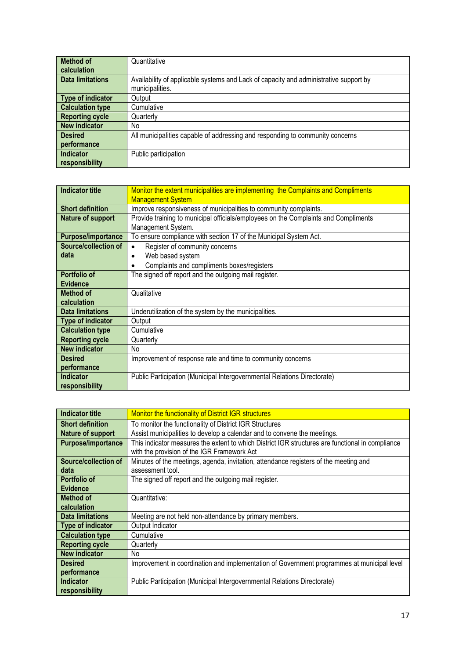| <b>Method of</b>        | Quantitative                                                                          |
|-------------------------|---------------------------------------------------------------------------------------|
| calculation             |                                                                                       |
| <b>Data limitations</b> | Availability of applicable systems and Lack of capacity and administrative support by |
|                         | municipalities.                                                                       |
| Type of indicator       | Output                                                                                |
| <b>Calculation type</b> | Cumulative                                                                            |
| <b>Reporting cycle</b>  | Quarterly                                                                             |
| <b>New indicator</b>    | No                                                                                    |
| <b>Desired</b>          | All municipalities capable of addressing and responding to community concerns         |
| performance             |                                                                                       |
| <b>Indicator</b>        | Public participation                                                                  |
| responsibility          |                                                                                       |

| <b>Indicator title</b>    | Monitor the extent municipalities are implementing the Complaints and Compliments<br><b>Management System</b> |
|---------------------------|---------------------------------------------------------------------------------------------------------------|
| <b>Short definition</b>   | Improve responsiveness of municipalities to community complaints.                                             |
|                           |                                                                                                               |
| <b>Nature of support</b>  | Provide training to municipal officials/employees on the Complaints and Compliments                           |
|                           | Management System.                                                                                            |
| <b>Purpose/importance</b> | To ensure compliance with section 17 of the Municipal System Act.                                             |
| Source/collection of      | Register of community concerns<br>$\bullet$                                                                   |
| data                      | Web based system<br>٠                                                                                         |
|                           | Complaints and compliments boxes/registers                                                                    |
| Portfolio of              | The signed off report and the outgoing mail register.                                                         |
| <b>Evidence</b>           |                                                                                                               |
| Method of                 | Qualitative                                                                                                   |
| calculation               |                                                                                                               |
| <b>Data limitations</b>   | Underutilization of the system by the municipalities.                                                         |
| <b>Type of indicator</b>  | Output                                                                                                        |
| <b>Calculation type</b>   | Cumulative                                                                                                    |
| <b>Reporting cycle</b>    | Quarterly                                                                                                     |
| <b>New indicator</b>      | No                                                                                                            |
| <b>Desired</b>            | Improvement of response rate and time to community concerns                                                   |
| performance               |                                                                                                               |
| <b>Indicator</b>          | Public Participation (Municipal Intergovernmental Relations Directorate)                                      |
| responsibility            |                                                                                                               |

| <b>Indicator title</b>  | Monitor the functionality of District IGR structures                                             |
|-------------------------|--------------------------------------------------------------------------------------------------|
| <b>Short definition</b> | To monitor the functionality of District IGR Structures                                          |
| Nature of support       | Assist municipalities to develop a calendar and to convene the meetings.                         |
| Purpose/importance      | This indicator measures the extent to which District IGR structures are functional in compliance |
|                         | with the provision of the IGR Framework Act                                                      |
| Source/collection of    | Minutes of the meetings, agenda, invitation, attendance registers of the meeting and             |
| data                    | assessment tool.                                                                                 |
| Portfolio of            | The signed off report and the outgoing mail register.                                            |
| <b>Evidence</b>         |                                                                                                  |
| Method of               | Quantitative:                                                                                    |
| calculation             |                                                                                                  |
| <b>Data limitations</b> | Meeting are not held non-attendance by primary members.                                          |
| Type of indicator       | Output Indicator                                                                                 |
| <b>Calculation type</b> | Cumulative                                                                                       |
| <b>Reporting cycle</b>  | Quarterly                                                                                        |
| <b>New indicator</b>    | No.                                                                                              |
| <b>Desired</b>          | Improvement in coordination and implementation of Government programmes at municipal level       |
| performance             |                                                                                                  |
| <b>Indicator</b>        | Public Participation (Municipal Intergovernmental Relations Directorate)                         |
| responsibility          |                                                                                                  |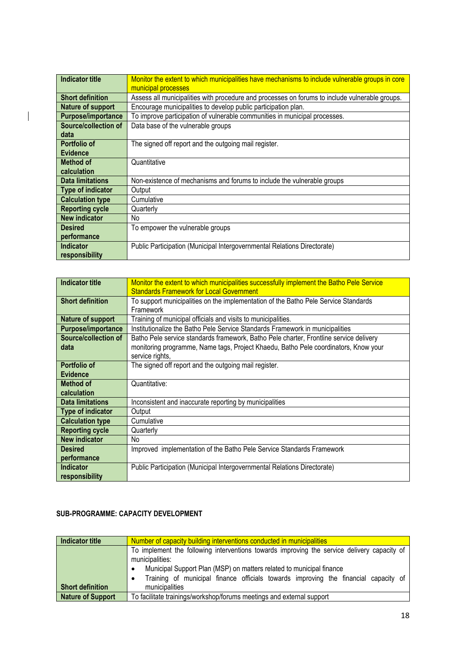| <b>Indicator title</b>  | Monitor the extent to which municipalities have mechanisms to include vulnerable groups in core |
|-------------------------|-------------------------------------------------------------------------------------------------|
|                         | municipal processes                                                                             |
| <b>Short definition</b> | Assess all municipalities with procedure and processes on forums to include vulnerable groups.  |
| Nature of support       | Encourage municipalities to develop public participation plan.                                  |
| Purpose/importance      | To improve participation of vulnerable communities in municipal processes.                      |
| Source/collection of    | Data base of the vulnerable groups                                                              |
| data                    |                                                                                                 |
| Portfolio of            | The signed off report and the outgoing mail register.                                           |
| <b>Evidence</b>         |                                                                                                 |
| <b>Method of</b>        | Quantitative                                                                                    |
| calculation             |                                                                                                 |
| <b>Data limitations</b> | Non-existence of mechanisms and forums to include the vulnerable groups                         |
| Type of indicator       | Output                                                                                          |
| <b>Calculation type</b> | Cumulative                                                                                      |
| <b>Reporting cycle</b>  | Quarterly                                                                                       |
| <b>New indicator</b>    | No.                                                                                             |
| <b>Desired</b>          | To empower the vulnerable groups                                                                |
| performance             |                                                                                                 |
| <b>Indicator</b>        | Public Participation (Municipal Intergovernmental Relations Directorate)                        |
| responsibility          |                                                                                                 |

| <b>Indicator title</b>             | Monitor the extent to which municipalities successfully implement the Batho Pele Service<br><b>Standards Framework for Local Government</b>                                                      |
|------------------------------------|--------------------------------------------------------------------------------------------------------------------------------------------------------------------------------------------------|
| <b>Short definition</b>            | To support municipalities on the implementation of the Batho Pele Service Standards<br>Framework                                                                                                 |
| Nature of support                  | Training of municipal officials and visits to municipalities.                                                                                                                                    |
| Purpose/importance                 | Institutionalize the Batho Pele Service Standards Framework in municipalities                                                                                                                    |
| Source/collection of<br>data       | Batho Pele service standards framework, Batho Pele charter, Frontline service delivery<br>monitoring programme, Name tags, Project Khaedu, Batho Pele coordinators, Know your<br>service rights, |
| Portfolio of<br><b>Evidence</b>    | The signed off report and the outgoing mail register.                                                                                                                                            |
| <b>Method of</b><br>calculation    | Quantitative:                                                                                                                                                                                    |
| <b>Data limitations</b>            | Inconsistent and inaccurate reporting by municipalities                                                                                                                                          |
| Type of indicator                  | Output                                                                                                                                                                                           |
| <b>Calculation type</b>            | Cumulative                                                                                                                                                                                       |
| <b>Reporting cycle</b>             | Quarterly                                                                                                                                                                                        |
| <b>New indicator</b>               | No.                                                                                                                                                                                              |
| <b>Desired</b>                     | Improved implementation of the Batho Pele Service Standards Framework                                                                                                                            |
| performance                        |                                                                                                                                                                                                  |
| <b>Indicator</b><br>responsibility | Public Participation (Municipal Intergovernmental Relations Directorate)                                                                                                                         |

#### **SUB-PROGRAMME: CAPACITY DEVELOPMENT**

 $\overline{\phantom{a}}$ 

| Indicator title          | Number of capacity building interventions conducted in municipalities                       |
|--------------------------|---------------------------------------------------------------------------------------------|
|                          | To implement the following interventions towards improving the service delivery capacity of |
|                          | municipalities:                                                                             |
|                          | Municipal Support Plan (MSP) on matters related to municipal finance<br>٠                   |
|                          | Training of municipal finance officials towards improving the financial capacity of<br>٠    |
| <b>Short definition</b>  | municipalities                                                                              |
| <b>Nature of Support</b> | To facilitate trainings/workshop/forums meetings and external support                       |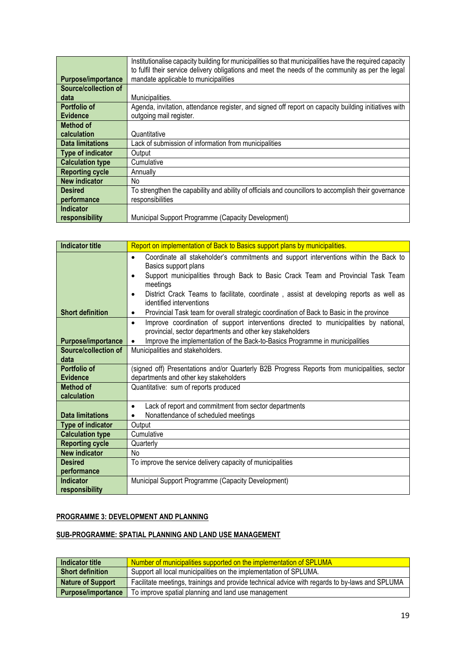|                             | Institutionalise capacity building for municipalities so that municipalities have the required capacity |
|-----------------------------|---------------------------------------------------------------------------------------------------------|
|                             | to fulfil their service delivery obligations and meet the needs of the community as per the legal       |
| <b>Purpose/importance</b>   | mandate applicable to municipalities                                                                    |
| <b>Source/collection of</b> |                                                                                                         |
| data                        | Municipalities.                                                                                         |
| Portfolio of                | Agenda, invitation, attendance register, and signed off report on capacity building initiatives with    |
| <b>Evidence</b>             | outgoing mail register.                                                                                 |
| Method of                   |                                                                                                         |
| calculation                 | Quantitative                                                                                            |
| <b>Data limitations</b>     | Lack of submission of information from municipalities                                                   |
| Type of indicator           | Output                                                                                                  |
| <b>Calculation type</b>     | Cumulative                                                                                              |
| <b>Reporting cycle</b>      | Annually                                                                                                |
| <b>New indicator</b>        | No.                                                                                                     |
| <b>Desired</b>              | To strengthen the capability and ability of officials and councillors to accomplish their governance    |
| performance                 | responsibilities                                                                                        |
| Indicator                   |                                                                                                         |
| responsibility              | Municipal Support Programme (Capacity Development)                                                      |

| <b>Indicator title</b>  | Report on implementation of Back to Basics support plans by municipalities.                           |
|-------------------------|-------------------------------------------------------------------------------------------------------|
|                         | Coordinate all stakeholder's commitments and support interventions within the Back to<br>$\bullet$    |
|                         | Basics support plans                                                                                  |
|                         | Support municipalities through Back to Basic Crack Team and Provincial Task Team<br>٠                 |
|                         | meetings                                                                                              |
|                         | District Crack Teams to facilitate, coordinate, assist at developing reports as well as<br>$\bullet$  |
|                         | identified interventions                                                                              |
| <b>Short definition</b> | Provincial Task team for overall strategic coordination of Back to Basic in the province<br>$\bullet$ |
|                         | Improve coordination of support interventions directed to municipalities by national,<br>$\bullet$    |
|                         | provincial, sector departments and other key stakeholders                                             |
| Purpose/importance      | Improve the implementation of the Back-to-Basics Programme in municipalities<br>$\bullet$             |
| Source/collection of    | Municipalities and stakeholders.                                                                      |
| data                    |                                                                                                       |
| Portfolio of            | (signed off) Presentations and/or Quarterly B2B Progress Reports from municipalities, sector          |
| <b>Evidence</b>         | departments and other key stakeholders                                                                |
| <b>Method of</b>        | Quantitative: sum of reports produced                                                                 |
| calculation             |                                                                                                       |
|                         | Lack of report and commitment from sector departments<br>$\bullet$                                    |
| <b>Data limitations</b> | Nonattendance of scheduled meetings<br>$\bullet$                                                      |
| Type of indicator       | Output                                                                                                |
| <b>Calculation type</b> | Cumulative                                                                                            |
| <b>Reporting cycle</b>  | Quarterly                                                                                             |
| <b>New indicator</b>    | No                                                                                                    |
| <b>Desired</b>          | To improve the service delivery capacity of municipalities                                            |
| performance             |                                                                                                       |
| <b>Indicator</b>        | Municipal Support Programme (Capacity Development)                                                    |
| responsibility          |                                                                                                       |

#### **PROGRAMME 3: DEVELOPMENT AND PLANNING**

#### **SUB-PROGRAMME: SPATIAL PLANNING AND LAND USE MANAGEMENT**

| Indicator title           | Number of municipalities supported on the implementation of SPLUMA                             |
|---------------------------|------------------------------------------------------------------------------------------------|
| <b>Short definition</b>   | Support all local municipalities on the implementation of SPLUMA.                              |
| <b>Nature of Support</b>  | Facilitate meetings, trainings and provide technical advice with regards to by-laws and SPLUMA |
| <b>Purpose/importance</b> | To improve spatial planning and land use management                                            |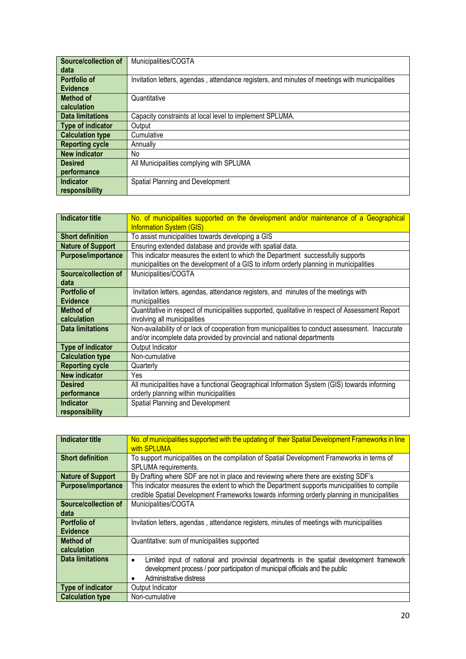| <b>Source/collection of</b> | Municipalities/COGTA                                                                           |
|-----------------------------|------------------------------------------------------------------------------------------------|
| data                        |                                                                                                |
| Portfolio of                | Invitation letters, agendas, attendance registers, and minutes of meetings with municipalities |
| <b>Evidence</b>             |                                                                                                |
| <b>Method of</b>            | Quantitative                                                                                   |
| calculation                 |                                                                                                |
| <b>Data limitations</b>     | Capacity constraints at local level to implement SPLUMA.                                       |
| <b>Type of indicator</b>    | Output                                                                                         |
| <b>Calculation type</b>     | Cumulative                                                                                     |
| <b>Reporting cycle</b>      | Annually                                                                                       |
| <b>New indicator</b>        | No                                                                                             |
| <b>Desired</b>              | All Municipalities complying with SPLUMA                                                       |
| performance                 |                                                                                                |
| <b>Indicator</b>            | Spatial Planning and Development                                                               |
| responsibility              |                                                                                                |

| <b>Indicator title</b>   | No. of municipalities supported on the development and/or maintenance of a Geographical          |
|--------------------------|--------------------------------------------------------------------------------------------------|
|                          | <b>Information System (GIS)</b>                                                                  |
| <b>Short definition</b>  | To assist municipalities towards developing a GIS                                                |
| <b>Nature of Support</b> | Ensuring extended database and provide with spatial data.                                        |
| Purpose/importance       | This indicator measures the extent to which the Department successfully supports                 |
|                          | municipalities on the development of a GIS to inform orderly planning in municipalities          |
| Source/collection of     | Municipalities/COGTA                                                                             |
| data                     |                                                                                                  |
| Portfolio of             | Invitation letters, agendas, attendance registers, and minutes of the meetings with              |
| <b>Evidence</b>          | municipalities                                                                                   |
| <b>Method of</b>         | Quantitative in respect of municipalities supported, qualitative in respect of Assessment Report |
| calculation              | involving all municipalities                                                                     |
| Data limitations         | Non-availability of or lack of cooperation from municipalities to conduct assessment. Inaccurate |
|                          | and/or incomplete data provided by provincial and national departments                           |
| Type of indicator        | Output Indicator                                                                                 |
| <b>Calculation type</b>  | Non-cumulative                                                                                   |
| <b>Reporting cycle</b>   | Quarterly                                                                                        |
| <b>New indicator</b>     | Yes                                                                                              |
| <b>Desired</b>           | All municipalities have a functional Geographical Information System (GIS) towards informing     |
| performance              | orderly planning within municipalities                                                           |
| <b>Indicator</b>         | Spatial Planning and Development                                                                 |
| responsibility           |                                                                                                  |

| <b>Indicator title</b>   | No. of municipalities supported with the updating of their Spatial Development Frameworks in line<br>with SPLUMA                                                                              |
|--------------------------|-----------------------------------------------------------------------------------------------------------------------------------------------------------------------------------------------|
| <b>Short definition</b>  | To support municipalities on the compilation of Spatial Development Frameworks in terms of<br>SPLUMA requirements.                                                                            |
| <b>Nature of Support</b> | By Drafting where SDF are not in place and reviewing where there are existing SDF's                                                                                                           |
| Purpose/importance       | This indicator measures the extent to which the Department supports municipalities to compile<br>credible Spatial Development Frameworks towards informing orderly planning in municipalities |
| Source/collection of     | Municipalities/COGTA                                                                                                                                                                          |
| data                     |                                                                                                                                                                                               |
| Portfolio of             | Invitation letters, agendas, attendance registers, minutes of meetings with municipalities                                                                                                    |
| <b>Evidence</b>          |                                                                                                                                                                                               |
| Method of                | Quantitative: sum of municipalities supported                                                                                                                                                 |
| calculation              |                                                                                                                                                                                               |
| <b>Data limitations</b>  | Limited input of national and provincial departments in the spatial development framework<br>$\bullet$                                                                                        |
|                          | development process / poor participation of municipal officials and the public                                                                                                                |
|                          | Administrative distress                                                                                                                                                                       |
| <b>Type of indicator</b> | Output Indicator                                                                                                                                                                              |
| <b>Calculation type</b>  | Non-cumulative                                                                                                                                                                                |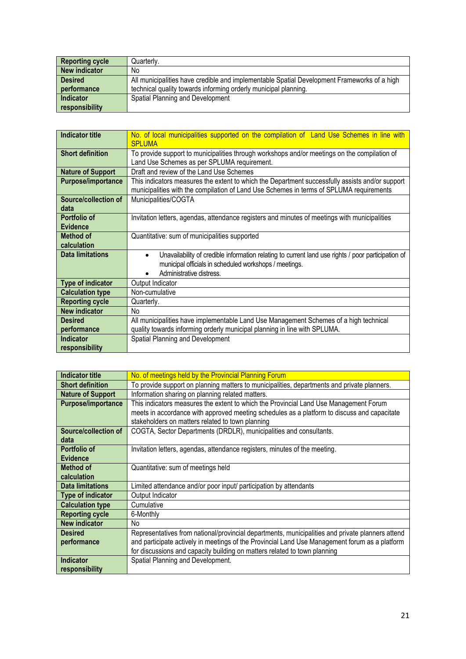| <b>Reporting cycle</b> | Quarterly.                                                                                  |
|------------------------|---------------------------------------------------------------------------------------------|
| New indicator          | No.                                                                                         |
| <b>Desired</b>         | All municipalities have credible and implementable Spatial Development Frameworks of a high |
| performance            | technical quality towards informing orderly municipal planning.                             |
| <b>Indicator</b>       | Spatial Planning and Development                                                            |
| responsibility         |                                                                                             |

| <b>Indicator title</b>    | No. of local municipalities supported on the compilation of Land Use Schemes in line with<br><b>SPLUMA</b>                                                                                                         |
|---------------------------|--------------------------------------------------------------------------------------------------------------------------------------------------------------------------------------------------------------------|
| <b>Short definition</b>   | To provide support to municipalities through workshops and/or meetings on the compilation of<br>Land Use Schemes as per SPLUMA requirement.                                                                        |
| <b>Nature of Support</b>  | Draft and review of the Land Use Schemes                                                                                                                                                                           |
| <b>Purpose/importance</b> | This indicators measures the extent to which the Department successfully assists and/or support<br>municipalities with the compilation of Land Use Schemes in terms of SPLUMA requirements                         |
| Source/collection of      | Municipalities/COGTA                                                                                                                                                                                               |
| data                      |                                                                                                                                                                                                                    |
| Portfolio of              | Invitation letters, agendas, attendance registers and minutes of meetings with municipalities                                                                                                                      |
| <b>Evidence</b>           |                                                                                                                                                                                                                    |
| <b>Method of</b>          | Quantitative: sum of municipalities supported                                                                                                                                                                      |
| calculation               |                                                                                                                                                                                                                    |
| <b>Data limitations</b>   | Unavailability of credible information relating to current land use rights / poor participation of<br>$\bullet$<br>municipal officials in scheduled workshops / meetings.<br>Administrative distress.<br>$\bullet$ |
| <b>Type of indicator</b>  | Output Indicator                                                                                                                                                                                                   |
| <b>Calculation type</b>   | Non-cumulative                                                                                                                                                                                                     |
| <b>Reporting cycle</b>    | Quarterly.                                                                                                                                                                                                         |
| <b>New indicator</b>      | No                                                                                                                                                                                                                 |
| <b>Desired</b>            | All municipalities have implementable Land Use Management Schemes of a high technical                                                                                                                              |
| performance               | quality towards informing orderly municipal planning in line with SPLUMA.                                                                                                                                          |
| <b>Indicator</b>          | Spatial Planning and Development                                                                                                                                                                                   |
| responsibility            |                                                                                                                                                                                                                    |

| <b>Indicator title</b>   | No. of meetings held by the Provincial Planning Forum                                            |
|--------------------------|--------------------------------------------------------------------------------------------------|
| <b>Short definition</b>  | To provide support on planning matters to municipalities, departments and private planners.      |
| <b>Nature of Support</b> | Information sharing on planning related matters.                                                 |
| Purpose/importance       | This indicators measures the extent to which the Provincial Land Use Management Forum            |
|                          | meets in accordance with approved meeting schedules as a platform to discuss and capacitate      |
|                          | stakeholders on matters related to town planning                                                 |
| Source/collection of     | COGTA, Sector Departments (DRDLR), municipalities and consultants.                               |
| data                     |                                                                                                  |
| Portfolio of             | Invitation letters, agendas, attendance registers, minutes of the meeting.                       |
| <b>Evidence</b>          |                                                                                                  |
| <b>Method of</b>         | Quantitative: sum of meetings held                                                               |
| calculation              |                                                                                                  |
| <b>Data limitations</b>  | Limited attendance and/or poor input/ participation by attendants                                |
| Type of indicator        | Output Indicator                                                                                 |
| <b>Calculation type</b>  | Cumulative                                                                                       |
| <b>Reporting cycle</b>   | 6-Monthly                                                                                        |
| <b>New indicator</b>     | No.                                                                                              |
| <b>Desired</b>           | Representatives from national/provincial departments, municipalities and private planners attend |
| performance              | and participate actively in meetings of the Provincial Land Use Management forum as a platform   |
|                          | for discussions and capacity building on matters related to town planning                        |
| <b>Indicator</b>         | Spatial Planning and Development.                                                                |
| responsibility           |                                                                                                  |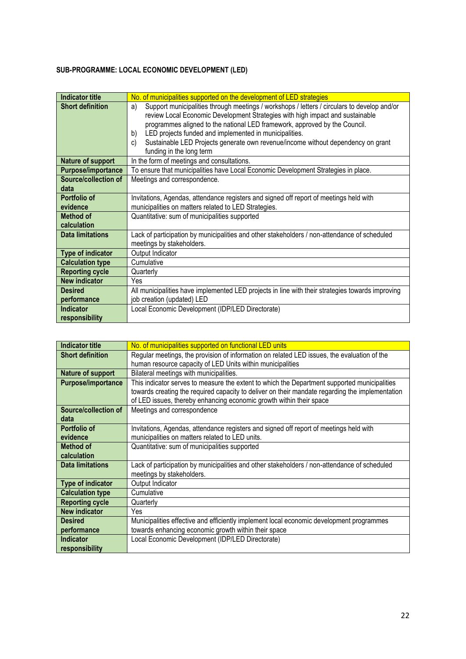## **SUB-PROGRAMME: LOCAL ECONOMIC DEVELOPMENT (LED)**

| <b>Indicator title</b>    | No. of municipalities supported on the development of LED strategies                              |
|---------------------------|---------------------------------------------------------------------------------------------------|
| <b>Short definition</b>   | Support municipalities through meetings / workshops / letters / circulars to develop and/or<br>a) |
|                           | review Local Economic Development Strategies with high impact and sustainable                     |
|                           | programmes aligned to the national LED framework, approved by the Council.                        |
|                           | LED projects funded and implemented in municipalities.<br>b)                                      |
|                           | Sustainable LED Projects generate own revenue/income without dependency on grant<br>C)            |
|                           | funding in the long term                                                                          |
| Nature of support         | In the form of meetings and consultations.                                                        |
| <b>Purpose/importance</b> | To ensure that municipalities have Local Economic Development Strategies in place.                |
| Source/collection of      | Meetings and correspondence.                                                                      |
| data                      |                                                                                                   |
| Portfolio of              | Invitations, Agendas, attendance registers and signed off report of meetings held with            |
| evidence                  | municipalities on matters related to LED Strategies.                                              |
| Method of                 | Quantitative: sum of municipalities supported                                                     |
| calculation               |                                                                                                   |
| <b>Data limitations</b>   | Lack of participation by municipalities and other stakeholders / non-attendance of scheduled      |
|                           | meetings by stakeholders.                                                                         |
| Type of indicator         | Output Indicator                                                                                  |
| <b>Calculation type</b>   | Cumulative                                                                                        |
| <b>Reporting cycle</b>    | Quarterly                                                                                         |
| <b>New indicator</b>      | Yes                                                                                               |
| <b>Desired</b>            | All municipalities have implemented LED projects in line with their strategies towards improving  |
| performance               | job creation (updated) LED                                                                        |
| <b>Indicator</b>          | Local Economic Development (IDP/LED Directorate)                                                  |
| responsibility            |                                                                                                   |

| <b>Indicator title</b>    | No. of municipalities supported on functional LED units                                         |
|---------------------------|-------------------------------------------------------------------------------------------------|
| <b>Short definition</b>   | Regular meetings, the provision of information on related LED issues, the evaluation of the     |
|                           | human resource capacity of LED Units within municipalities                                      |
| Nature of support         | Bilateral meetings with municipalities.                                                         |
| <b>Purpose/importance</b> | This indicator serves to measure the extent to which the Department supported municipalities    |
|                           | towards creating the required capacity to deliver on their mandate regarding the implementation |
|                           | of LED issues, thereby enhancing economic growth within their space                             |
| Source/collection of      | Meetings and correspondence                                                                     |
| data                      |                                                                                                 |
| Portfolio of              | Invitations, Agendas, attendance registers and signed off report of meetings held with          |
| evidence                  | municipalities on matters related to LED units.                                                 |
| Method of                 | Quantitative: sum of municipalities supported                                                   |
| calculation               |                                                                                                 |
| <b>Data limitations</b>   | Lack of participation by municipalities and other stakeholders / non-attendance of scheduled    |
|                           | meetings by stakeholders.                                                                       |
| Type of indicator         | Output Indicator                                                                                |
| <b>Calculation type</b>   | Cumulative                                                                                      |
| <b>Reporting cycle</b>    | Quarterly                                                                                       |
| <b>New indicator</b>      | Yes                                                                                             |
| <b>Desired</b>            | Municipalities effective and efficiently implement local economic development programmes        |
| performance               | towards enhancing economic growth within their space                                            |
| <b>Indicator</b>          | Local Economic Development (IDP/LED Directorate)                                                |
| responsibility            |                                                                                                 |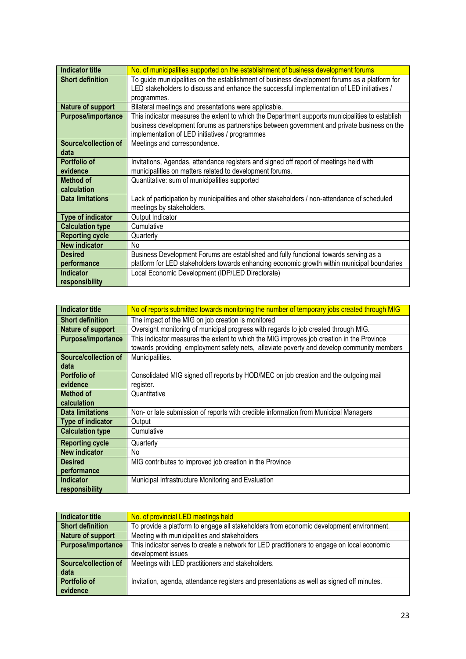| <b>Indicator title</b>    | No. of municipalities supported on the establishment of business development forums             |
|---------------------------|-------------------------------------------------------------------------------------------------|
| <b>Short definition</b>   | To guide municipalities on the establishment of business development forums as a platform for   |
|                           | LED stakeholders to discuss and enhance the successful implementation of LED initiatives /      |
|                           | programmes.                                                                                     |
| Nature of support         | Bilateral meetings and presentations were applicable.                                           |
| <b>Purpose/importance</b> | This indicator measures the extent to which the Department supports municipalities to establish |
|                           | business development forums as partnerships between government and private business on the      |
|                           | implementation of LED initiatives / programmes                                                  |
| Source/collection of      | Meetings and correspondence.                                                                    |
| data                      |                                                                                                 |
| Portfolio of              | Invitations, Agendas, attendance registers and signed off report of meetings held with          |
| evidence                  | municipalities on matters related to development forums.                                        |
| <b>Method of</b>          | Quantitative: sum of municipalities supported                                                   |
| calculation               |                                                                                                 |
| <b>Data limitations</b>   | Lack of participation by municipalities and other stakeholders / non-attendance of scheduled    |
|                           | meetings by stakeholders.                                                                       |
| <b>Type of indicator</b>  | Output Indicator                                                                                |
| <b>Calculation type</b>   | Cumulative                                                                                      |
| <b>Reporting cycle</b>    | Quarterly                                                                                       |
| <b>New indicator</b>      | No                                                                                              |
| <b>Desired</b>            | Business Development Forums are established and fully functional towards serving as a           |
| performance               | platform for LED stakeholders towards enhancing economic growth within municipal boundaries     |
| <b>Indicator</b>          | Local Economic Development (IDP/LED Directorate)                                                |
| responsibility            |                                                                                                 |

| Indicator title         | No of reports submitted towards monitoring the number of temporary jobs created through MIG |
|-------------------------|---------------------------------------------------------------------------------------------|
| <b>Short definition</b> | The impact of the MIG on job creation is monitored                                          |
| Nature of support       | Oversight monitoring of municipal progress with regards to job created through MIG.         |
| Purpose/importance      | This indicator measures the extent to which the MIG improves job creation in the Province   |
|                         | towards providing employment safety nets, alleviate poverty and develop community members   |
| Source/collection of    | Municipalities.                                                                             |
| data                    |                                                                                             |
| Portfolio of            | Consolidated MIG signed off reports by HOD/MEC on job creation and the outgoing mail        |
| evidence                | register.                                                                                   |
| Method of               | Quantitative                                                                                |
| calculation             |                                                                                             |
| <b>Data limitations</b> | Non- or late submission of reports with credible information from Municipal Managers        |
| Type of indicator       | Output                                                                                      |
| <b>Calculation type</b> | Cumulative                                                                                  |
| <b>Reporting cycle</b>  | Quarterly                                                                                   |
| <b>New indicator</b>    | No.                                                                                         |
| <b>Desired</b>          | MIG contributes to improved job creation in the Province                                    |
| performance             |                                                                                             |
| <b>Indicator</b>        | Municipal Infrastructure Monitoring and Evaluation                                          |
| responsibility          |                                                                                             |

| <b>Indicator title</b>      | No. of provincial LED meetings held                                                         |
|-----------------------------|---------------------------------------------------------------------------------------------|
| <b>Short definition</b>     | To provide a platform to engage all stakeholders from economic development environment.     |
| Nature of support           | Meeting with municipalities and stakeholders                                                |
| <b>Purpose/importance</b>   | This indicator serves to create a network for LED practitioners to engage on local economic |
|                             | development issues                                                                          |
| <b>Source/collection of</b> | Meetings with LED practitioners and stakeholders.                                           |
| data                        |                                                                                             |
| <b>Portfolio of</b>         | Invitation, agenda, attendance registers and presentations as well as signed off minutes.   |
| evidence                    |                                                                                             |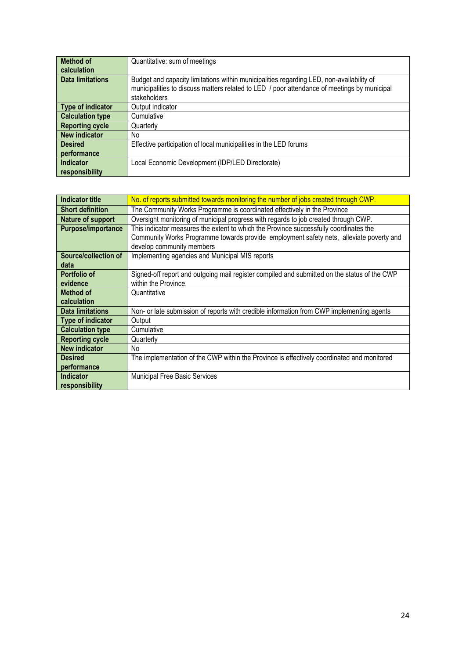| <b>Method of</b>        | Quantitative: sum of meetings                                                               |
|-------------------------|---------------------------------------------------------------------------------------------|
| calculation             |                                                                                             |
| <b>Data limitations</b> | Budget and capacity limitations within municipalities regarding LED, non-availability of    |
|                         | municipalities to discuss matters related to LED / poor attendance of meetings by municipal |
|                         | stakeholders                                                                                |
| Type of indicator       | Output Indicator                                                                            |
| <b>Calculation type</b> | Cumulative                                                                                  |
| <b>Reporting cycle</b>  | Quarterly                                                                                   |
| <b>New indicator</b>    | No                                                                                          |
| <b>Desired</b>          | Effective participation of local municipalities in the LED forums                           |
| performance             |                                                                                             |
| <b>Indicator</b>        | Local Economic Development (IDP/LED Directorate)                                            |
| responsibility          |                                                                                             |

| <b>Indicator title</b>  | No. of reports submitted towards monitoring the number of jobs created through CWP.          |
|-------------------------|----------------------------------------------------------------------------------------------|
| <b>Short definition</b> | The Community Works Programme is coordinated effectively in the Province                     |
| Nature of support       | Oversight monitoring of municipal progress with regards to job created through CWP.          |
| Purpose/importance      | This indicator measures the extent to which the Province successfully coordinates the        |
|                         | Community Works Programme towards provide employment safety nets, alleviate poverty and      |
|                         | develop community members                                                                    |
| Source/collection of    | Implementing agencies and Municipal MIS reports                                              |
| data                    |                                                                                              |
| Portfolio of            | Signed-off report and outgoing mail register compiled and submitted on the status of the CWP |
| evidence                | within the Province.                                                                         |
| <b>Method of</b>        | Quantitative                                                                                 |
| calculation             |                                                                                              |
| <b>Data limitations</b> | Non- or late submission of reports with credible information from CWP implementing agents    |
| Type of indicator       | Output                                                                                       |
| <b>Calculation type</b> | Cumulative                                                                                   |
| <b>Reporting cycle</b>  | Quarterly                                                                                    |
| <b>New indicator</b>    | No.                                                                                          |
| <b>Desired</b>          | The implementation of the CWP within the Province is effectively coordinated and monitored   |
| performance             |                                                                                              |
| <b>Indicator</b>        | <b>Municipal Free Basic Services</b>                                                         |
| responsibility          |                                                                                              |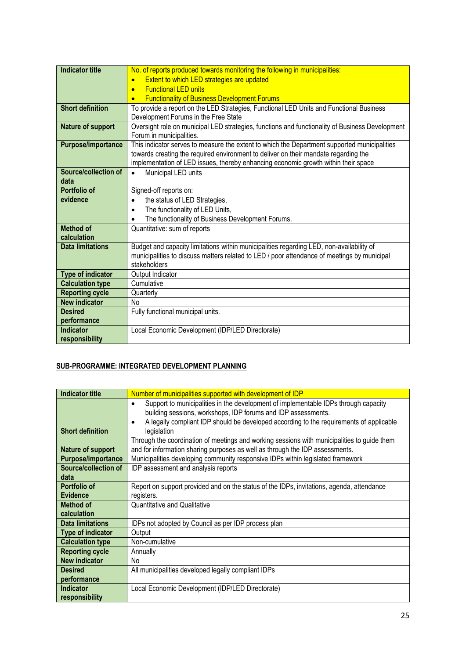| <b>Indicator title</b>    | No. of reports produced towards monitoring the following in municipalities:                     |
|---------------------------|-------------------------------------------------------------------------------------------------|
|                           | Extent to which LED strategies are updated<br>$\bullet$                                         |
|                           | <b>Functional LED units</b><br>$\bullet$                                                        |
|                           | <b>Functionality of Business Development Forums</b>                                             |
| <b>Short definition</b>   | To provide a report on the LED Strategies, Functional LED Units and Functional Business         |
|                           | Development Forums in the Free State                                                            |
| <b>Nature of support</b>  | Oversight role on municipal LED strategies, functions and functionality of Business Development |
|                           | Forum in municipalities.                                                                        |
| <b>Purpose/importance</b> | This indicator serves to measure the extent to which the Department supported municipalities    |
|                           | towards creating the required environment to deliver on their mandate regarding the             |
|                           | implementation of LED issues, thereby enhancing economic growth within their space              |
| Source/collection of      | Municipal LED units                                                                             |
| data                      |                                                                                                 |
| Portfolio of              | Signed-off reports on:                                                                          |
| evidence                  | the status of LED Strategies,<br>$\bullet$                                                      |
|                           | The functionality of LED Units,<br>$\bullet$                                                    |
|                           | The functionality of Business Development Forums.<br>$\bullet$                                  |
| <b>Method of</b>          | Quantitative: sum of reports                                                                    |
| calculation               |                                                                                                 |
| <b>Data limitations</b>   | Budget and capacity limitations within municipalities regarding LED, non-availability of        |
|                           | municipalities to discuss matters related to LED / poor attendance of meetings by municipal     |
|                           | stakeholders                                                                                    |
| <b>Type of indicator</b>  | Output Indicator                                                                                |
| <b>Calculation type</b>   | Cumulative                                                                                      |
| <b>Reporting cycle</b>    | Quarterly                                                                                       |
| <b>New indicator</b>      | No                                                                                              |
| <b>Desired</b>            | Fully functional municipal units.                                                               |
| performance               |                                                                                                 |
| <b>Indicator</b>          | Local Economic Development (IDP/LED Directorate)                                                |
| responsibility            |                                                                                                 |

#### **SUB-PROGRAMME: INTEGRATED DEVELOPMENT PLANNING**

| <b>Indicator title</b>   | Number of municipalities supported with development of IDP                                           |
|--------------------------|------------------------------------------------------------------------------------------------------|
|                          | Support to municipalities in the development of implementable IDPs through capacity<br>$\bullet$     |
|                          | building sessions, workshops, IDP forums and IDP assessments.                                        |
|                          | A legally compliant IDP should be developed according to the requirements of applicable<br>$\bullet$ |
| <b>Short definition</b>  | legislation                                                                                          |
|                          | Through the coordination of meetings and working sessions with municipalities to guide them          |
| Nature of support        | and for information sharing purposes as well as through the IDP assessments.                         |
| Purpose/importance       | Municipalities developing community responsive IDPs within legislated framework                      |
| Source/collection of     | IDP assessment and analysis reports                                                                  |
| data                     |                                                                                                      |
| <b>Portfolio of</b>      | Report on support provided and on the status of the IDPs, invitations, agenda, attendance            |
| <b>Evidence</b>          | registers.                                                                                           |
| <b>Method of</b>         | <b>Quantitative and Qualitative</b>                                                                  |
| calculation              |                                                                                                      |
| <b>Data limitations</b>  | IDPs not adopted by Council as per IDP process plan                                                  |
| <b>Type of indicator</b> | Output                                                                                               |
| <b>Calculation type</b>  | Non-cumulative                                                                                       |
| <b>Reporting cycle</b>   | Annually                                                                                             |
| <b>New indicator</b>     | No.                                                                                                  |
| <b>Desired</b>           | All municipalities developed legally compliant IDPs                                                  |
| performance              |                                                                                                      |
| <b>Indicator</b>         | Local Economic Development (IDP/LED Directorate)                                                     |
| responsibility           |                                                                                                      |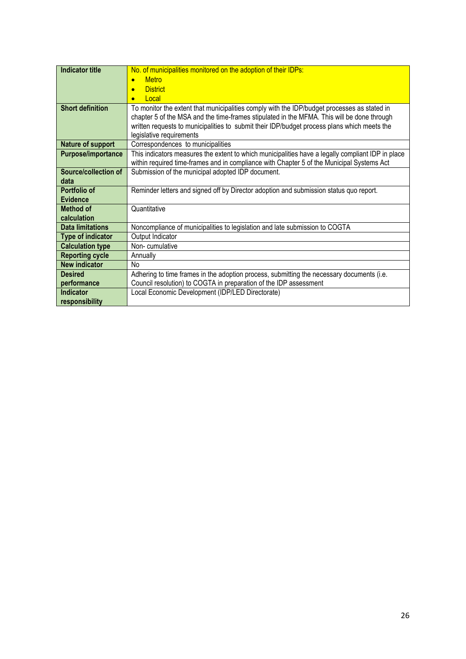| <b>Indicator title</b>  | No. of municipalities monitored on the adoption of their IDPs:                                                                                                                            |
|-------------------------|-------------------------------------------------------------------------------------------------------------------------------------------------------------------------------------------|
|                         | <b>Metro</b><br>$\bullet$                                                                                                                                                                 |
|                         | <b>District</b><br>$\bullet$                                                                                                                                                              |
|                         | Local<br>$\bullet$                                                                                                                                                                        |
| <b>Short definition</b> | To monitor the extent that municipalities comply with the IDP/budget processes as stated in<br>chapter 5 of the MSA and the time-frames stipulated in the MFMA. This will be done through |
|                         | written requests to municipalities to submit their IDP/budget process plans which meets the                                                                                               |
|                         | legislative requirements                                                                                                                                                                  |
| Nature of support       | Correspondences to municipalities                                                                                                                                                         |
| Purpose/importance      | This indicators measures the extent to which municipalities have a legally compliant IDP in place                                                                                         |
|                         | within required time-frames and in compliance with Chapter 5 of the Municipal Systems Act                                                                                                 |
| Source/collection of    | Submission of the municipal adopted IDP document.                                                                                                                                         |
| data                    |                                                                                                                                                                                           |
| Portfolio of            | Reminder letters and signed off by Director adoption and submission status quo report.                                                                                                    |
| <b>Evidence</b>         |                                                                                                                                                                                           |
| <b>Method of</b>        | Quantitative                                                                                                                                                                              |
| calculation             |                                                                                                                                                                                           |
| <b>Data limitations</b> | Noncompliance of municipalities to legislation and late submission to COGTA                                                                                                               |
| Type of indicator       | Output Indicator                                                                                                                                                                          |
| <b>Calculation type</b> | Non-cumulative                                                                                                                                                                            |
| <b>Reporting cycle</b>  | Annually                                                                                                                                                                                  |
| <b>New indicator</b>    | <b>No</b>                                                                                                                                                                                 |
| <b>Desired</b>          | Adhering to time frames in the adoption process, submitting the necessary documents (i.e.                                                                                                 |
| performance             | Council resolution) to COGTA in preparation of the IDP assessment                                                                                                                         |
| Indicator               | Local Economic Development (IDP/LED Directorate)                                                                                                                                          |
| responsibility          |                                                                                                                                                                                           |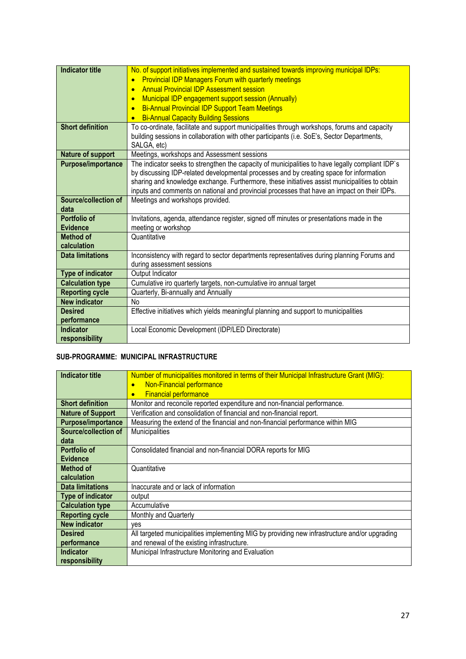| <b>Indicator title</b>  | No. of support initiatives implemented and sustained towards improving municipal IDPs:           |
|-------------------------|--------------------------------------------------------------------------------------------------|
|                         | <b>Provincial IDP Managers Forum with quarterly meetings</b><br>$\bullet$                        |
|                         | <b>Annual Provincial IDP Assessment session</b><br>$\bullet$                                     |
|                         | Municipal IDP engagement support session (Annually)<br>$\bullet$                                 |
|                         | <b>Bi-Annual Provincial IDP Support Team Meetings</b><br>$\bullet$                               |
|                         | <b>Bi-Annual Capacity Building Sessions</b><br>$\bullet$                                         |
| <b>Short definition</b> | To co-ordinate, facilitate and support municipalities through workshops, forums and capacity     |
|                         | building sessions in collaboration with other participants (i.e. SoE's, Sector Departments,      |
|                         | SALGA, etc)                                                                                      |
| Nature of support       | Meetings, workshops and Assessment sessions                                                      |
| Purpose/importance      | The indicator seeks to strengthen the capacity of municipalities to have legally compliant IDP's |
|                         | by discussing IDP-related developmental processes and by creating space for information          |
|                         | sharing and knowledge exchange. Furthermore, these initiatives assist municipalities to obtain   |
|                         | inputs and comments on national and provincial processes that have an impact on their IDPs.      |
| Source/collection of    | Meetings and workshops provided.                                                                 |
| data                    |                                                                                                  |
| <b>Portfolio of</b>     | Invitations, agenda, attendance register, signed off minutes or presentations made in the        |
| <b>Evidence</b>         | meeting or workshop                                                                              |
| <b>Method of</b>        | Quantitative                                                                                     |
| calculation             |                                                                                                  |
| <b>Data limitations</b> | Inconsistency with regard to sector departments representatives during planning Forums and       |
|                         | during assessment sessions                                                                       |
| Type of indicator       | Output Indicator                                                                                 |
| <b>Calculation type</b> | Cumulative iro quarterly targets, non-cumulative iro annual target                               |
| <b>Reporting cycle</b>  | Quarterly, Bi-annually and Annually                                                              |
| <b>New indicator</b>    | No                                                                                               |
| <b>Desired</b>          | Effective initiatives which yields meaningful planning and support to municipalities             |
| performance             |                                                                                                  |
| <b>Indicator</b>        | Local Economic Development (IDP/LED Directorate)                                                 |
| responsibility          |                                                                                                  |

#### **SUB-PROGRAMME: MUNICIPAL INFRASTRUCTURE**

| <b>Indicator title</b>      | Number of municipalities monitored in terms of their Municipal Infrastructure Grant (MIG):    |
|-----------------------------|-----------------------------------------------------------------------------------------------|
|                             | Non-Financial performance<br>$\bullet$                                                        |
|                             | <b>Financial performance</b><br>$\bullet$                                                     |
| <b>Short definition</b>     | Monitor and reconcile reported expenditure and non-financial performance.                     |
| <b>Nature of Support</b>    | Verification and consolidation of financial and non-financial report.                         |
| Purpose/importance          | Measuring the extend of the financial and non-financial performance within MIG                |
| <b>Source/collection of</b> | <b>Municipalities</b>                                                                         |
| data                        |                                                                                               |
| Portfolio of                | Consolidated financial and non-financial DORA reports for MIG                                 |
| <b>Evidence</b>             |                                                                                               |
| <b>Method of</b>            | Quantitative                                                                                  |
| calculation                 |                                                                                               |
| <b>Data limitations</b>     | Inaccurate and or lack of information                                                         |
| <b>Type of indicator</b>    | output                                                                                        |
| <b>Calculation type</b>     | Accumulative                                                                                  |
| <b>Reporting cycle</b>      | Monthly and Quarterly                                                                         |
| <b>New indicator</b>        | ves                                                                                           |
| <b>Desired</b>              | All targeted municipalities implementing MIG by providing new infrastructure and/or upgrading |
| performance                 | and renewal of the existing infrastructure.                                                   |
| <b>Indicator</b>            | Municipal Infrastructure Monitoring and Evaluation                                            |
| responsibility              |                                                                                               |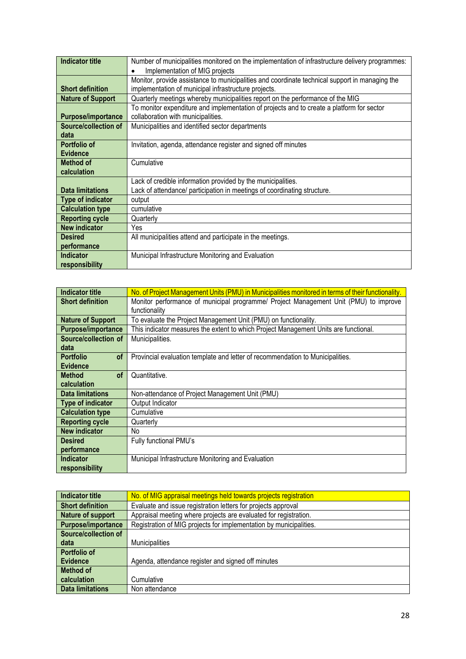| <b>Indicator title</b>   | Number of municipalities monitored on the implementation of infrastructure delivery programmes: |
|--------------------------|-------------------------------------------------------------------------------------------------|
|                          | Implementation of MIG projects                                                                  |
|                          | Monitor, provide assistance to municipalities and coordinate technical support in managing the  |
| <b>Short definition</b>  | implementation of municipal infrastructure projects.                                            |
| <b>Nature of Support</b> | Quarterly meetings whereby municipalities report on the performance of the MIG                  |
|                          | To monitor expenditure and implementation of projects and to create a platform for sector       |
| Purpose/importance       | collaboration with municipalities.                                                              |
| Source/collection of     | Municipalities and identified sector departments                                                |
| data                     |                                                                                                 |
| Portfolio of             | Invitation, agenda, attendance register and signed off minutes                                  |
| <b>Evidence</b>          |                                                                                                 |
| Method of                | Cumulative                                                                                      |
| calculation              |                                                                                                 |
|                          | Lack of credible information provided by the municipalities.                                    |
| <b>Data limitations</b>  | Lack of attendance/ participation in meetings of coordinating structure.                        |
| Type of indicator        | output                                                                                          |
| <b>Calculation type</b>  | cumulative                                                                                      |
| <b>Reporting cycle</b>   | Quarterly                                                                                       |
| <b>New indicator</b>     | Yes                                                                                             |
| <b>Desired</b>           | All municipalities attend and participate in the meetings.                                      |
| performance              |                                                                                                 |
| <b>Indicator</b>         | Municipal Infrastructure Monitoring and Evaluation                                              |
| responsibility           |                                                                                                 |

| <b>Indicator title</b>        | No. of Project Management Units (PMU) in Municipalities monitored in terms of their functionality. |
|-------------------------------|----------------------------------------------------------------------------------------------------|
| <b>Short definition</b>       | Monitor performance of municipal programme/ Project Management Unit (PMU) to improve               |
|                               | functionality                                                                                      |
| <b>Nature of Support</b>      | To evaluate the Project Management Unit (PMU) on functionality.                                    |
| Purpose/importance            | This indicator measures the extent to which Project Management Units are functional.               |
| Source/collection of          | Municipalities.                                                                                    |
| data                          |                                                                                                    |
| <b>Portfolio</b><br><b>of</b> | Provincial evaluation template and letter of recommendation to Municipalities.                     |
| <b>Evidence</b>               |                                                                                                    |
| <b>of</b><br><b>Method</b>    | Quantitative.                                                                                      |
| calculation                   |                                                                                                    |
| <b>Data limitations</b>       | Non-attendance of Project Management Unit (PMU)                                                    |
| <b>Type of indicator</b>      | Output Indicator                                                                                   |
| <b>Calculation type</b>       | Cumulative                                                                                         |
| <b>Reporting cycle</b>        | Quarterly                                                                                          |
| <b>New indicator</b>          | No                                                                                                 |
| <b>Desired</b>                | Fully functional PMU's                                                                             |
| performance                   |                                                                                                    |
| <b>Indicator</b>              | Municipal Infrastructure Monitoring and Evaluation                                                 |
| responsibility                |                                                                                                    |

| Indicator title             | No. of MIG appraisal meetings held towards projects registration   |
|-----------------------------|--------------------------------------------------------------------|
| <b>Short definition</b>     | Evaluate and issue registration letters for projects approval      |
| Nature of support           | Appraisal meeting where projects are evaluated for registration.   |
| Purpose/importance          | Registration of MIG projects for implementation by municipalities. |
| <b>Source/collection of</b> |                                                                    |
| data                        | <b>Municipalities</b>                                              |
| <b>Portfolio of</b>         |                                                                    |
| Evidence                    | Agenda, attendance register and signed off minutes                 |
| <b>Method of</b>            |                                                                    |
| calculation                 | Cumulative                                                         |
| <b>Data limitations</b>     | Non attendance                                                     |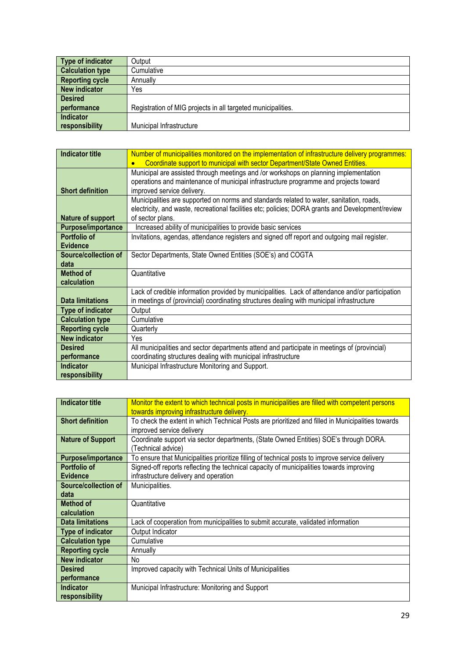| Type of indicator       | Output                                                       |
|-------------------------|--------------------------------------------------------------|
| <b>Calculation type</b> | Cumulative                                                   |
| <b>Reporting cycle</b>  | Annually                                                     |
| New indicator           | Yes                                                          |
| <b>Desired</b>          |                                                              |
| performance             | Registration of MIG projects in all targeted municipalities. |
| Indicator               |                                                              |
| responsibility          | Municipal Infrastructure                                     |

| <b>Indicator title</b>   | Number of municipalities monitored on the implementation of infrastructure delivery programmes:   |
|--------------------------|---------------------------------------------------------------------------------------------------|
|                          | Coordinate support to municipal with sector Department/State Owned Entities.                      |
|                          | Municipal are assisted through meetings and /or workshops on planning implementation              |
|                          | operations and maintenance of municipal infrastructure programme and projects toward              |
| <b>Short definition</b>  | improved service delivery.                                                                        |
|                          | Municipalities are supported on norms and standards related to water, sanitation, roads,          |
|                          | electricity, and waste, recreational facilities etc; policies; DORA grants and Development/review |
| Nature of support        | of sector plans.                                                                                  |
| Purpose/importance       | Increased ability of municipalities to provide basic services                                     |
| Portfolio of             | Invitations, agendas, attendance registers and signed off report and outgoing mail register.      |
| <b>Evidence</b>          |                                                                                                   |
| Source/collection of     | Sector Departments, State Owned Entities (SOE's) and COGTA                                        |
| data                     |                                                                                                   |
| <b>Method of</b>         | Quantitative                                                                                      |
| calculation              |                                                                                                   |
|                          | Lack of credible information provided by municipalities. Lack of attendance and/or participation  |
| <b>Data limitations</b>  | in meetings of (provincial) coordinating structures dealing with municipal infrastructure         |
| <b>Type of indicator</b> | Output                                                                                            |
| <b>Calculation type</b>  | Cumulative                                                                                        |
| <b>Reporting cycle</b>   | Quarterly                                                                                         |
| <b>New indicator</b>     | Yes                                                                                               |
| <b>Desired</b>           | All municipalities and sector departments attend and participate in meetings of (provincial)      |
| performance              | coordinating structures dealing with municipal infrastructure                                     |
| <b>Indicator</b>         | Municipal Infrastructure Monitoring and Support.                                                  |
| responsibility           |                                                                                                   |

| <b>Indicator title</b>    | Monitor the extent to which technical posts in municipalities are filled with competent persons   |
|---------------------------|---------------------------------------------------------------------------------------------------|
|                           | towards improving infrastructure delivery.                                                        |
| <b>Short definition</b>   | To check the extent in which Technical Posts are prioritized and filled in Municipalities towards |
|                           | improved service delivery                                                                         |
| <b>Nature of Support</b>  | Coordinate support via sector departments, (State Owned Entities) SOE's through DORA.             |
|                           | (Technical advice)                                                                                |
| <b>Purpose/importance</b> | To ensure that Municipalities prioritize filling of technical posts to improve service delivery   |
| Portfolio of              | Signed-off reports reflecting the technical capacity of municipalities towards improving          |
| <b>Evidence</b>           | infrastructure delivery and operation                                                             |
| Source/collection of      | Municipalities.                                                                                   |
| data                      |                                                                                                   |
| <b>Method of</b>          | Quantitative                                                                                      |
| calculation               |                                                                                                   |
| <b>Data limitations</b>   | Lack of cooperation from municipalities to submit accurate, validated information                 |
| <b>Type of indicator</b>  | Output Indicator                                                                                  |
| <b>Calculation type</b>   | Cumulative                                                                                        |
| <b>Reporting cycle</b>    | Annually                                                                                          |
| <b>New indicator</b>      | No.                                                                                               |
| <b>Desired</b>            | Improved capacity with Technical Units of Municipalities                                          |
| performance               |                                                                                                   |
| <b>Indicator</b>          | Municipal Infrastructure: Monitoring and Support                                                  |
| responsibility            |                                                                                                   |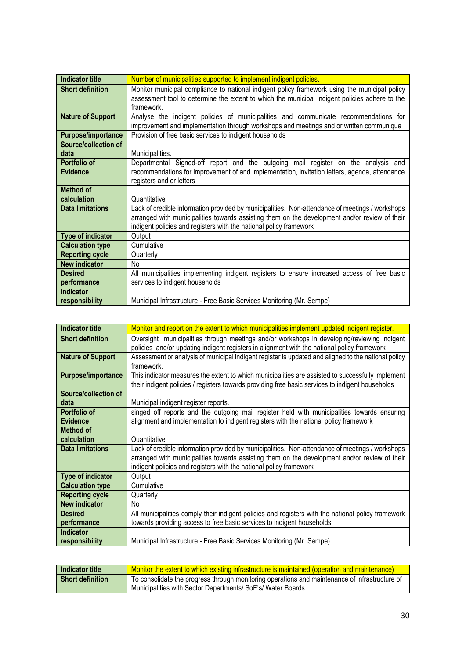| <b>Indicator title</b>   | Number of municipalities supported to implement indigent policies.                              |
|--------------------------|-------------------------------------------------------------------------------------------------|
| <b>Short definition</b>  | Monitor municipal compliance to national indigent policy framework using the municipal policy   |
|                          | assessment tool to determine the extent to which the municipal indigent policies adhere to the  |
|                          | framework.                                                                                      |
| <b>Nature of Support</b> | Analyse the indigent policies of municipalities and communicate recommendations for             |
|                          | improvement and implementation through workshops and meetings and or written communique         |
|                          |                                                                                                 |
| Purpose/importance       | Provision of free basic services to indigent households                                         |
| Source/collection of     |                                                                                                 |
| data                     | Municipalities.                                                                                 |
| Portfolio of             | Departmental Signed-off report and the outgoing mail register on the analysis and               |
| <b>Evidence</b>          | recommendations for improvement of and implementation, invitation letters, agenda, attendance   |
|                          | registers and or letters                                                                        |
| <b>Method of</b>         |                                                                                                 |
| calculation              | Quantitative                                                                                    |
| <b>Data limitations</b>  | Lack of credible information provided by municipalities. Non-attendance of meetings / workshops |
|                          | arranged with municipalities towards assisting them on the development and/or review of their   |
|                          | indigent policies and registers with the national policy framework                              |
| <b>Type of indicator</b> | Output                                                                                          |
| <b>Calculation type</b>  | Cumulative                                                                                      |
| <b>Reporting cycle</b>   | Quarterly                                                                                       |
| <b>New indicator</b>     | No                                                                                              |
| <b>Desired</b>           | All municipalities implementing indigent registers to ensure increased access of free basic     |
| performance              | services to indigent households                                                                 |
| Indicator                |                                                                                                 |
| responsibility           | Municipal Infrastructure - Free Basic Services Monitoring (Mr. Sempe)                           |

| <b>Indicator title</b>    | Monitor and report on the extent to which municipalities implement updated indigent register.       |
|---------------------------|-----------------------------------------------------------------------------------------------------|
| <b>Short definition</b>   | Oversight municipalities through meetings and/or workshops in developing/reviewing indigent         |
|                           | policies and/or updating indigent registers in alignment with the national policy framework         |
| <b>Nature of Support</b>  | Assessment or analysis of municipal indigent register is updated and aligned to the national policy |
|                           | framework.                                                                                          |
| <b>Purpose/importance</b> | This indicator measures the extent to which municipalities are assisted to successfully implement   |
|                           | their indigent policies / registers towards providing free basic services to indigent households    |
| Source/collection of      |                                                                                                     |
| data                      | Municipal indigent register reports.                                                                |
| Portfolio of              | singed off reports and the outgoing mail register held with municipalities towards ensuring         |
| <b>Evidence</b>           | alignment and implementation to indigent registers with the national policy framework               |
| Method of                 |                                                                                                     |
| calculation               | Quantitative                                                                                        |
| <b>Data limitations</b>   | Lack of credible information provided by municipalities. Non-attendance of meetings / workshops     |
|                           | arranged with municipalities towards assisting them on the development and/or review of their       |
|                           | indigent policies and registers with the national policy framework                                  |
| Type of indicator         | Output                                                                                              |
| <b>Calculation type</b>   | Cumulative                                                                                          |
| <b>Reporting cycle</b>    | Quarterly                                                                                           |
| <b>New indicator</b>      | N <sub>o</sub>                                                                                      |
| <b>Desired</b>            | All municipalities comply their indigent policies and registers with the national policy framework  |
| performance               | towards providing access to free basic services to indigent households                              |
| Indicator                 |                                                                                                     |
| responsibility            | Municipal Infrastructure - Free Basic Services Monitoring (Mr. Sempe)                               |

| Indicator title         | Monitor the extent to which existing infrastructure is maintained (operation and maintenance)  |
|-------------------------|------------------------------------------------------------------------------------------------|
| <b>Short definition</b> | To consolidate the progress through monitoring operations and maintenance of infrastructure of |
|                         | Municipalities with Sector Departments/ SoE's/ Water Boards                                    |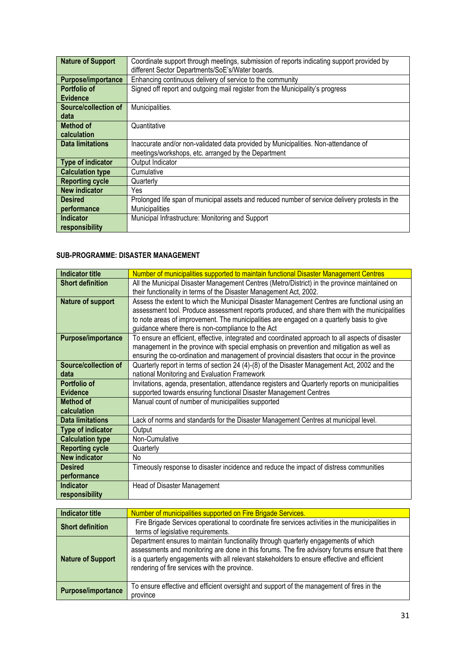| <b>Nature of Support</b>  | Coordinate support through meetings, submission of reports indicating support provided by<br>different Sector Departments/SoE's/Water boards. |
|---------------------------|-----------------------------------------------------------------------------------------------------------------------------------------------|
|                           |                                                                                                                                               |
| <b>Purpose/importance</b> | Enhancing continuous delivery of service to the community                                                                                     |
| Portfolio of              | Signed off report and outgoing mail register from the Municipality's progress                                                                 |
| <b>Evidence</b>           |                                                                                                                                               |
| Source/collection of      | Municipalities.                                                                                                                               |
| data                      |                                                                                                                                               |
| Method of                 | Quantitative                                                                                                                                  |
| calculation               |                                                                                                                                               |
| <b>Data limitations</b>   | Inaccurate and/or non-validated data provided by Municipalities. Non-attendance of                                                            |
|                           | meetings/workshops, etc. arranged by the Department                                                                                           |
| Type of indicator         | Output Indicator                                                                                                                              |
| <b>Calculation type</b>   | Cumulative                                                                                                                                    |
| <b>Reporting cycle</b>    | Quarterly                                                                                                                                     |
| <b>New indicator</b>      | Yes                                                                                                                                           |
| <b>Desired</b>            | Prolonged life span of municipal assets and reduced number of service delivery protests in the                                                |
| performance               | <b>Municipalities</b>                                                                                                                         |
| <b>Indicator</b>          | Municipal Infrastructure: Monitoring and Support                                                                                              |
| responsibility            |                                                                                                                                               |

#### **SUB-PROGRAMME: DISASTER MANAGEMENT**

| <b>Indicator title</b>   | Number of municipalities supported to maintain functional Disaster Management Centres             |
|--------------------------|---------------------------------------------------------------------------------------------------|
| <b>Short definition</b>  | All the Municipal Disaster Management Centres (Metro/District) in the province maintained on      |
|                          | their functionality in terms of the Disaster Management Act, 2002.                                |
| Nature of support        | Assess the extent to which the Municipal Disaster Management Centres are functional using an      |
|                          | assessment tool. Produce assessment reports produced, and share them with the municipalities      |
|                          | to note areas of improvement. The municipalities are engaged on a quarterly basis to give         |
|                          | guidance where there is non-compliance to the Act                                                 |
| Purpose/importance       | To ensure an efficient, effective, integrated and coordinated approach to all aspects of disaster |
|                          | management in the province with special emphasis on prevention and mitigation as well as          |
|                          | ensuring the co-ordination and management of provincial disasters that occur in the province      |
| Source/collection of     | Quarterly report in terms of section 24 (4)-(8) of the Disaster Management Act, 2002 and the      |
| data                     | national Monitoring and Evaluation Framework                                                      |
| Portfolio of             | Invitations, agenda, presentation, attendance registers and Quarterly reports on municipalities   |
| <b>Evidence</b>          | supported towards ensuring functional Disaster Management Centres                                 |
| Method of                | Manual count of number of municipalities supported                                                |
| calculation              |                                                                                                   |
| <b>Data limitations</b>  | Lack of norms and standards for the Disaster Management Centres at municipal level.               |
| <b>Type of indicator</b> | Output                                                                                            |
| <b>Calculation type</b>  | Non-Cumulative                                                                                    |
| <b>Reporting cycle</b>   | Quarterly                                                                                         |
| <b>New indicator</b>     | No                                                                                                |
| <b>Desired</b>           | Timeously response to disaster incidence and reduce the impact of distress communities            |
| performance              |                                                                                                   |
| <b>Indicator</b>         | Head of Disaster Management                                                                       |
| responsibility           |                                                                                                   |

| <b>Indicator title</b>   | Number of municipalities supported on Fire Brigade Services.                                                                                                                                                                                                                                                                          |
|--------------------------|---------------------------------------------------------------------------------------------------------------------------------------------------------------------------------------------------------------------------------------------------------------------------------------------------------------------------------------|
| <b>Short definition</b>  | Fire Brigade Services operational to coordinate fire services activities in the municipalities in<br>terms of legislative requirements.                                                                                                                                                                                               |
| <b>Nature of Support</b> | Department ensures to maintain functionality through quarterly engagements of which<br>assessments and monitoring are done in this forums. The fire advisory forums ensure that there<br>is a quarterly engagements with all relevant stakeholders to ensure effective and efficient<br>rendering of fire services with the province. |
| Purpose/importance       | To ensure effective and efficient oversight and support of the management of fires in the<br>province                                                                                                                                                                                                                                 |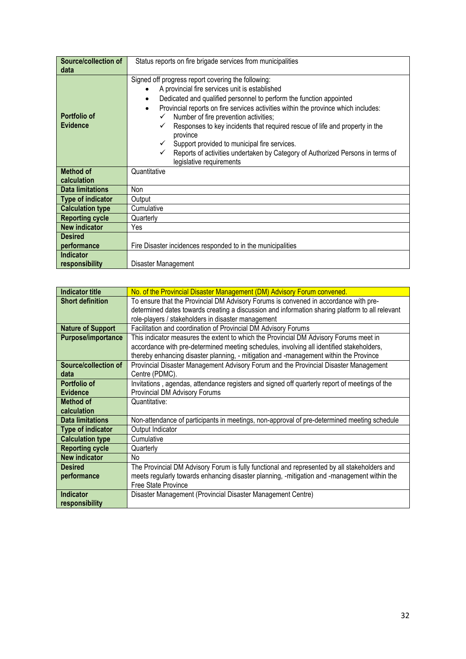| Source/collection of            | Status reports on fire brigade services from municipalities                                                                                                                                                                                                                                                                                                                                                                                                                                                                                                                   |
|---------------------------------|-------------------------------------------------------------------------------------------------------------------------------------------------------------------------------------------------------------------------------------------------------------------------------------------------------------------------------------------------------------------------------------------------------------------------------------------------------------------------------------------------------------------------------------------------------------------------------|
| data                            |                                                                                                                                                                                                                                                                                                                                                                                                                                                                                                                                                                               |
| Portfolio of<br><b>Evidence</b> | Signed off progress report covering the following:<br>A provincial fire services unit is established<br>Dedicated and qualified personnel to perform the function appointed<br>Provincial reports on fire services activities within the province which includes:<br>٠<br>Number of fire prevention activities;<br>Responses to key incidents that required rescue of life and property in the<br>province<br>Support provided to municipal fire services.<br>Reports of activities undertaken by Category of Authorized Persons in terms of<br>✓<br>legislative requirements |
| <b>Method of</b>                | Quantitative                                                                                                                                                                                                                                                                                                                                                                                                                                                                                                                                                                  |
| calculation                     |                                                                                                                                                                                                                                                                                                                                                                                                                                                                                                                                                                               |
| <b>Data limitations</b>         | Non                                                                                                                                                                                                                                                                                                                                                                                                                                                                                                                                                                           |
| Type of indicator               | Output                                                                                                                                                                                                                                                                                                                                                                                                                                                                                                                                                                        |
| <b>Calculation type</b>         | Cumulative                                                                                                                                                                                                                                                                                                                                                                                                                                                                                                                                                                    |
| <b>Reporting cycle</b>          | Quarterly                                                                                                                                                                                                                                                                                                                                                                                                                                                                                                                                                                     |
| <b>New indicator</b>            | Yes                                                                                                                                                                                                                                                                                                                                                                                                                                                                                                                                                                           |
| <b>Desired</b>                  |                                                                                                                                                                                                                                                                                                                                                                                                                                                                                                                                                                               |
| performance                     | Fire Disaster incidences responded to in the municipalities                                                                                                                                                                                                                                                                                                                                                                                                                                                                                                                   |
| <b>Indicator</b>                |                                                                                                                                                                                                                                                                                                                                                                                                                                                                                                                                                                               |
| responsibility                  | Disaster Management                                                                                                                                                                                                                                                                                                                                                                                                                                                                                                                                                           |

| <b>Indicator title</b>      | No. of the Provincial Disaster Management (DM) Advisory Forum convened.                         |
|-----------------------------|-------------------------------------------------------------------------------------------------|
| <b>Short definition</b>     | To ensure that the Provincial DM Advisory Forums is convened in accordance with pre-            |
|                             | determined dates towards creating a discussion and information sharing platform to all relevant |
|                             | role-players / stakeholders in disaster management                                              |
| <b>Nature of Support</b>    | Facilitation and coordination of Provincial DM Advisory Forums                                  |
| <b>Purpose/importance</b>   | This indicator measures the extent to which the Provincial DM Advisory Forums meet in           |
|                             | accordance with pre-determined meeting schedules, involving all identified stakeholders,        |
|                             | thereby enhancing disaster planning, - mitigation and -management within the Province           |
| <b>Source/collection of</b> | Provincial Disaster Management Advisory Forum and the Provincial Disaster Management            |
| data                        | Centre (PDMC).                                                                                  |
| Portfolio of                | Invitations, agendas, attendance registers and signed off quarterly report of meetings of the   |
| <b>Evidence</b>             | Provincial DM Advisory Forums                                                                   |
| Method of                   | Quantitative:                                                                                   |
| calculation                 |                                                                                                 |
| <b>Data limitations</b>     | Non-attendance of participants in meetings, non-approval of pre-determined meeting schedule     |
| Type of indicator           | Output Indicator                                                                                |
| <b>Calculation type</b>     | Cumulative                                                                                      |
| <b>Reporting cycle</b>      | Quarterly                                                                                       |
| <b>New indicator</b>        | No.                                                                                             |
| <b>Desired</b>              | The Provincial DM Advisory Forum is fully functional and represented by all stakeholders and    |
| performance                 | meets regularly towards enhancing disaster planning, -mitigation and -management within the     |
|                             | Free State Province                                                                             |
| <b>Indicator</b>            | Disaster Management (Provincial Disaster Management Centre)                                     |
| responsibility              |                                                                                                 |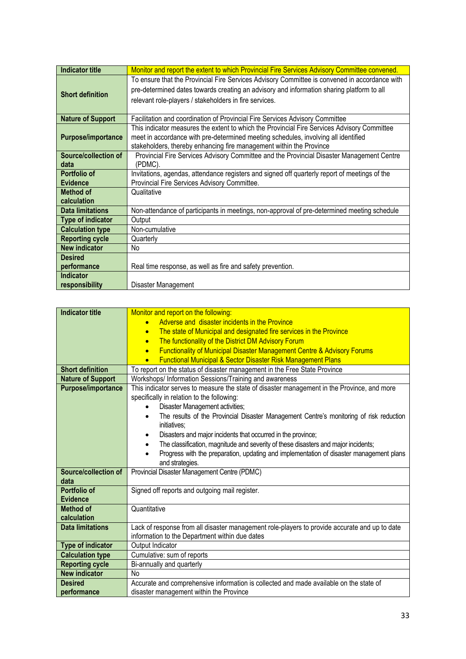| Indicator title           | Monitor and report the extent to which Provincial Fire Services Advisory Committee convened.  |
|---------------------------|-----------------------------------------------------------------------------------------------|
| <b>Short definition</b>   | To ensure that the Provincial Fire Services Advisory Committee is convened in accordance with |
|                           | pre-determined dates towards creating an advisory and information sharing platform to all     |
|                           | relevant role-players / stakeholders in fire services.                                        |
|                           |                                                                                               |
| <b>Nature of Support</b>  | Facilitation and coordination of Provincial Fire Services Advisory Committee                  |
|                           | This indicator measures the extent to which the Provincial Fire Services Advisory Committee   |
| <b>Purpose/importance</b> | meet in accordance with pre-determined meeting schedules, involving all identified            |
|                           | stakeholders, thereby enhancing fire management within the Province                           |
| Source/collection of      | Provincial Fire Services Advisory Committee and the Provincial Disaster Management Centre     |
| data                      | (PDMC).                                                                                       |
| Portfolio of              | Invitations, agendas, attendance registers and signed off quarterly report of meetings of the |
| <b>Evidence</b>           | Provincial Fire Services Advisory Committee.                                                  |
| <b>Method of</b>          | Qualitative                                                                                   |
| calculation               |                                                                                               |
| <b>Data limitations</b>   | Non-attendance of participants in meetings, non-approval of pre-determined meeting schedule   |
| <b>Type of indicator</b>  | Output                                                                                        |
| <b>Calculation type</b>   | Non-cumulative                                                                                |
| <b>Reporting cycle</b>    | Quarterly                                                                                     |
| <b>New indicator</b>      | No                                                                                            |
| <b>Desired</b>            |                                                                                               |
| performance               | Real time response, as well as fire and safety prevention.                                    |
| <b>Indicator</b>          |                                                                                               |
| responsibility            | Disaster Management                                                                           |

| <b>Indicator title</b>   | Monitor and report on the following:                                                                 |
|--------------------------|------------------------------------------------------------------------------------------------------|
|                          | Adverse and disaster incidents in the Province                                                       |
|                          | The state of Municipal and designated fire services in the Province<br>$\bullet$                     |
|                          | The functionality of the District DM Advisory Forum<br>$\bullet$                                     |
|                          | <b>Functionality of Municipal Disaster Management Centre &amp; Advisory Forums</b><br>$\bullet$      |
|                          | <b>Functional Municipal &amp; Sector Disaster Risk Management Plans</b>                              |
| <b>Short definition</b>  | To report on the status of disaster management in the Free State Province                            |
| <b>Nature of Support</b> | Workshops/ Information Sessions/Training and awareness                                               |
| Purpose/importance       | This indicator serves to measure the state of disaster management in the Province, and more          |
|                          | specifically in relation to the following:                                                           |
|                          | Disaster Management activities;                                                                      |
|                          | The results of the Provincial Disaster Management Centre's monitoring of risk reduction<br>$\bullet$ |
|                          | initiatives:                                                                                         |
|                          | Disasters and major incidents that occurred in the province;<br>٠                                    |
|                          | The classification, magnitude and severity of these disasters and major incidents;                   |
|                          | Progress with the preparation, updating and implementation of disaster management plans              |
|                          | and strategies.                                                                                      |
| Source/collection of     | Provincial Disaster Management Centre (PDMC)                                                         |
| data                     |                                                                                                      |
| <b>Portfolio of</b>      | Signed off reports and outgoing mail register.                                                       |
| <b>Evidence</b>          |                                                                                                      |
| <b>Method of</b>         | Quantitative                                                                                         |
| calculation              |                                                                                                      |
| <b>Data limitations</b>  | Lack of response from all disaster management role-players to provide accurate and up to date        |
|                          | information to the Department within due dates                                                       |
| Type of indicator        | Output Indicator                                                                                     |
| <b>Calculation type</b>  | Cumulative: sum of reports                                                                           |
| <b>Reporting cycle</b>   | Bi-annually and quarterly                                                                            |
| <b>New indicator</b>     | No                                                                                                   |
| <b>Desired</b>           | Accurate and comprehensive information is collected and made available on the state of               |
| performance              | disaster management within the Province                                                              |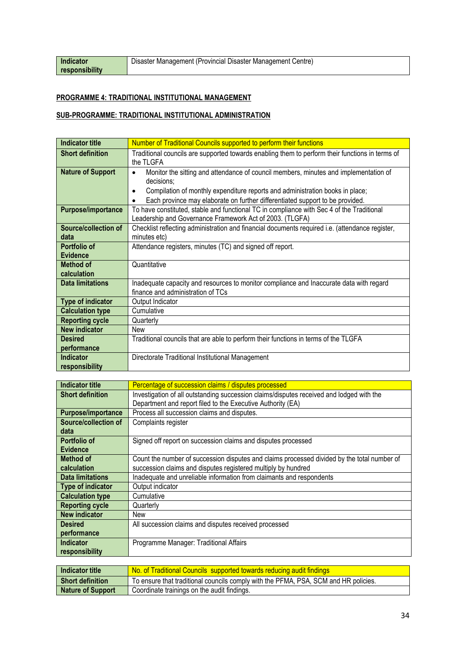### **PROGRAMME 4: TRADITIONAL INSTITUTIONAL MANAGEMENT**

#### **SUB-PROGRAMME: TRADITIONAL INSTITUTIONAL ADMINISTRATION**

| <b>Indicator title</b>    | Number of Traditional Councils supported to perform their functions                               |
|---------------------------|---------------------------------------------------------------------------------------------------|
| <b>Short definition</b>   | Traditional councils are supported towards enabling them to perform their functions in terms of   |
|                           | the TLGFA                                                                                         |
| <b>Nature of Support</b>  | Monitor the sitting and attendance of council members, minutes and implementation of<br>$\bullet$ |
|                           | decisions;                                                                                        |
|                           | Compilation of monthly expenditure reports and administration books in place;<br>$\bullet$        |
|                           | Each province may elaborate on further differentiated support to be provided.<br>٠                |
| <b>Purpose/importance</b> | To have constituted, stable and functional TC in compliance with Sec 4 of the Traditional         |
|                           | Leadership and Governance Framework Act of 2003. (TLGFA)                                          |
| Source/collection of      | Checklist reflecting administration and financial documents required i.e. (attendance register,   |
| data                      | minutes etc)                                                                                      |
| Portfolio of              | Attendance registers, minutes (TC) and signed off report.                                         |
| <b>Evidence</b>           |                                                                                                   |
| <b>Method of</b>          | Quantitative                                                                                      |
| calculation               |                                                                                                   |
| <b>Data limitations</b>   | Inadequate capacity and resources to monitor compliance and Inaccurate data with regard           |
|                           | finance and administration of TCs                                                                 |
| <b>Type of indicator</b>  | Output Indicator                                                                                  |
| <b>Calculation type</b>   | Cumulative                                                                                        |
| <b>Reporting cycle</b>    | Quarterly                                                                                         |
| <b>New indicator</b>      | New                                                                                               |
| <b>Desired</b>            | Traditional councils that are able to perform their functions in terms of the TLGFA               |
| performance               |                                                                                                   |
| <b>Indicator</b>          | Directorate Traditional Institutional Management                                                  |
| responsibility            |                                                                                                   |

| <b>Indicator title</b>    | Percentage of succession claims / disputes processed                                        |
|---------------------------|---------------------------------------------------------------------------------------------|
| <b>Short definition</b>   | Investigation of all outstanding succession claims/disputes received and lodged with the    |
|                           | Department and report filed to the Executive Authority (EA)                                 |
| <b>Purpose/importance</b> | Process all succession claims and disputes.                                                 |
| Source/collection of      | Complaints register                                                                         |
| data                      |                                                                                             |
| Portfolio of              | Signed off report on succession claims and disputes processed                               |
| <b>Evidence</b>           |                                                                                             |
| Method of                 | Count the number of succession disputes and claims processed divided by the total number of |
| calculation               | succession claims and disputes registered multiply by hundred                               |
| <b>Data limitations</b>   | Inadequate and unreliable information from claimants and respondents                        |
| Type of indicator         | Output indicator                                                                            |
| <b>Calculation type</b>   | Cumulative                                                                                  |
| <b>Reporting cycle</b>    | Quarterly                                                                                   |
| <b>New indicator</b>      | New                                                                                         |
| <b>Desired</b>            | All succession claims and disputes received processed                                       |
| performance               |                                                                                             |
| <b>Indicator</b>          | Programme Manager: Traditional Affairs                                                      |
| responsibility            |                                                                                             |
|                           |                                                                                             |

| Indicator title          | No. of Traditional Councils supported towards reducing audit findings               |
|--------------------------|-------------------------------------------------------------------------------------|
| Short definition         | To ensure that traditional councils comply with the PFMA, PSA, SCM and HR policies. |
| <b>Nature of Support</b> | Coordinate trainings on the audit findings.                                         |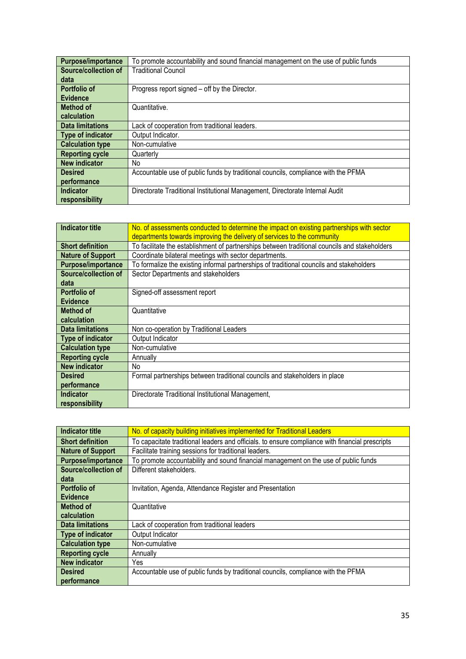| <b>Purpose/importance</b> | To promote accountability and sound financial management on the use of public funds |
|---------------------------|-------------------------------------------------------------------------------------|
| Source/collection of      | <b>Traditional Council</b>                                                          |
| data                      |                                                                                     |
| Portfolio of              | Progress report signed – off by the Director.                                       |
| <b>Evidence</b>           |                                                                                     |
| Method of                 | Quantitative.                                                                       |
| calculation               |                                                                                     |
| Data limitations          | Lack of cooperation from traditional leaders.                                       |
| Type of indicator         | Output Indicator.                                                                   |
| <b>Calculation type</b>   | Non-cumulative                                                                      |
| <b>Reporting cycle</b>    | Quarterly                                                                           |
| <b>New indicator</b>      | No                                                                                  |
| <b>Desired</b>            | Accountable use of public funds by traditional councils, compliance with the PFMA   |
| performance               |                                                                                     |
| <b>Indicator</b>          | Directorate Traditional Institutional Management, Directorate Internal Audit        |
| responsibility            |                                                                                     |

| <b>Indicator title</b>   | No. of assessments conducted to determine the impact on existing partnerships with sector     |
|--------------------------|-----------------------------------------------------------------------------------------------|
|                          | departments towards improving the delivery of services to the community                       |
| <b>Short definition</b>  | To facilitate the establishment of partnerships between traditional councils and stakeholders |
| <b>Nature of Support</b> | Coordinate bilateral meetings with sector departments.                                        |
| Purpose/importance       | To formalize the existing informal partnerships of traditional councils and stakeholders      |
| Source/collection of     | Sector Departments and stakeholders                                                           |
| data                     |                                                                                               |
| Portfolio of             | Signed-off assessment report                                                                  |
| <b>Evidence</b>          |                                                                                               |
| <b>Method of</b>         | Quantitative                                                                                  |
| calculation              |                                                                                               |
| Data limitations         | Non co-operation by Traditional Leaders                                                       |
| Type of indicator        | Output Indicator                                                                              |
| <b>Calculation type</b>  | Non-cumulative                                                                                |
| <b>Reporting cycle</b>   | Annually                                                                                      |
| <b>New indicator</b>     | No                                                                                            |
| <b>Desired</b>           | Formal partnerships between traditional councils and stakeholders in place                    |
| performance              |                                                                                               |
| <b>Indicator</b>         | Directorate Traditional Institutional Management,                                             |
| responsibility           |                                                                                               |

| Indicator title          | No. of capacity building initiatives implemented for Traditional Leaders                        |
|--------------------------|-------------------------------------------------------------------------------------------------|
| <b>Short definition</b>  | To capacitate traditional leaders and officials, to ensure compliance with financial prescripts |
| <b>Nature of Support</b> | Facilitate training sessions for traditional leaders.                                           |
| Purpose/importance       | To promote accountability and sound financial management on the use of public funds             |
| Source/collection of     | Different stakeholders.                                                                         |
| data                     |                                                                                                 |
| Portfolio of             | Invitation, Agenda, Attendance Register and Presentation                                        |
| <b>Evidence</b>          |                                                                                                 |
| <b>Method of</b>         | Quantitative                                                                                    |
| calculation              |                                                                                                 |
| <b>Data limitations</b>  | Lack of cooperation from traditional leaders                                                    |
| Type of indicator        | Output Indicator                                                                                |
| <b>Calculation type</b>  | Non-cumulative                                                                                  |
| <b>Reporting cycle</b>   | Annually                                                                                        |
| <b>New indicator</b>     | Yes.                                                                                            |
| <b>Desired</b>           | Accountable use of public funds by traditional councils, compliance with the PFMA               |
| performance              |                                                                                                 |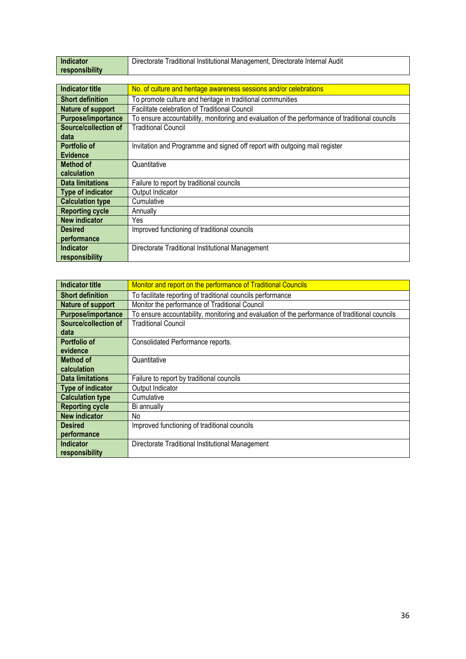| <b>Indicator</b>         | Directorate Traditional Institutional Management, Directorate Internal Audit                   |
|--------------------------|------------------------------------------------------------------------------------------------|
| responsibility           |                                                                                                |
|                          |                                                                                                |
| <b>Indicator title</b>   | No. of culture and heritage awareness sessions and/or celebrations                             |
| <b>Short definition</b>  | To promote culture and heritage in traditional communities                                     |
| <b>Nature of support</b> | Facilitate celebration of Traditional Council                                                  |
| Purpose/importance       | To ensure accountability, monitoring and evaluation of the performance of traditional councils |
| Source/collection of     | <b>Traditional Council</b>                                                                     |
| data                     |                                                                                                |
| Portfolio of             | Invitation and Programme and signed off report with outgoing mail register                     |
| <b>Evidence</b>          |                                                                                                |
| <b>Method of</b>         | Quantitative                                                                                   |
| calculation              |                                                                                                |
| <b>Data limitations</b>  | Failure to report by traditional councils                                                      |
| <b>Type of indicator</b> | Output Indicator                                                                               |
| <b>Calculation type</b>  | Cumulative                                                                                     |
| <b>Reporting cycle</b>   | Annually                                                                                       |
| <b>New indicator</b>     | Yes                                                                                            |
| <b>Desired</b>           | Improved functioning of traditional councils                                                   |
| performance              |                                                                                                |
| <b>Indicator</b>         | Directorate Traditional Institutional Management                                               |
| responsibility           |                                                                                                |

| <b>Indicator title</b>      | Monitor and report on the performance of Traditional Councils                                  |
|-----------------------------|------------------------------------------------------------------------------------------------|
| <b>Short definition</b>     | To facilitate reporting of traditional councils performance                                    |
| Nature of support           | Monitor the performance of Traditional Council                                                 |
| Purpose/importance          | To ensure accountability, monitoring and evaluation of the performance of traditional councils |
| <b>Source/collection of</b> | <b>Traditional Council</b>                                                                     |
| data                        |                                                                                                |
| Portfolio of                | Consolidated Performance reports.                                                              |
| evidence                    |                                                                                                |
| Method of                   | Quantitative                                                                                   |
| calculation                 |                                                                                                |
| <b>Data limitations</b>     | Failure to report by traditional councils                                                      |
| Type of indicator           | Output Indicator                                                                               |
| <b>Calculation type</b>     | Cumulative                                                                                     |
| <b>Reporting cycle</b>      | Bi annually                                                                                    |
| <b>New indicator</b>        | No                                                                                             |
| <b>Desired</b>              | Improved functioning of traditional councils                                                   |
| performance                 |                                                                                                |
| <b>Indicator</b>            | Directorate Traditional Institutional Management                                               |
| responsibility              |                                                                                                |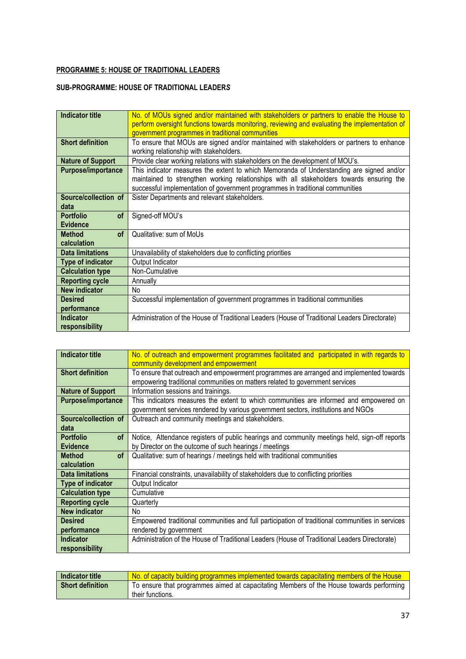## **PROGRAMME 5: HOUSE OF TRADITIONAL LEADERS**

#### **SUB-PROGRAMME: HOUSE OF TRADITIONAL LEADER***S*

| <b>Indicator title</b>     | No. of MOUs signed and/or maintained with stakeholders or partners to enable the House to      |
|----------------------------|------------------------------------------------------------------------------------------------|
|                            | perform oversight functions towards monitoring, reviewing and evaluating the implementation of |
|                            | government programmes in traditional communities                                               |
| <b>Short definition</b>    | To ensure that MOUs are signed and/or maintained with stakeholders or partners to enhance      |
|                            | working relationship with stakeholders.                                                        |
| <b>Nature of Support</b>   | Provide clear working relations with stakeholders on the development of MOU's.                 |
| Purpose/importance         | This indicator measures the extent to which Memoranda of Understanding are signed and/or       |
|                            | maintained to strengthen working relationships with all stakeholders towards ensuring the      |
|                            | successful implementation of government programmes in traditional communities                  |
| Source/collection of       | Sister Departments and relevant stakeholders.                                                  |
| data                       |                                                                                                |
| <b>Portfolio</b><br>of     | Signed-off MOU's                                                                               |
| <b>Evidence</b>            |                                                                                                |
| <b>Method</b><br><b>of</b> | Qualitative: sum of MoUs                                                                       |
| calculation                |                                                                                                |
| <b>Data limitations</b>    | Unavailability of stakeholders due to conflicting priorities                                   |
| Type of indicator          | Output Indicator                                                                               |
| <b>Calculation type</b>    | Non-Cumulative                                                                                 |
| <b>Reporting cycle</b>     | Annually                                                                                       |
| <b>New indicator</b>       | No                                                                                             |
| <b>Desired</b>             | Successful implementation of government programmes in traditional communities                  |
| performance                |                                                                                                |
| <b>Indicator</b>           | Administration of the House of Traditional Leaders (House of Traditional Leaders Directorate)  |
| responsibility             |                                                                                                |

| <b>Indicator title</b>        | No. of outreach and empowerment programmes facilitated and participated in with regards to      |
|-------------------------------|-------------------------------------------------------------------------------------------------|
|                               | community development and empowerment                                                           |
| <b>Short definition</b>       | To ensure that outreach and empowerment programmes are arranged and implemented towards         |
|                               | empowering traditional communities on matters related to government services                    |
| <b>Nature of Support</b>      | Information sessions and trainings.                                                             |
| Purpose/importance            | This indicators measures the extent to which communities are informed and empowered on          |
|                               | government services rendered by various government sectors, institutions and NGOs               |
| Source/collection of          | Outreach and community meetings and stakeholders.                                               |
| data                          |                                                                                                 |
| <b>Portfolio</b><br><b>of</b> | Notice, Attendance registers of public hearings and community meetings held, sign-off reports   |
| <b>Evidence</b>               | by Director on the outcome of such hearings / meetings                                          |
| <b>Method</b><br>0f           | Qualitative: sum of hearings / meetings held with traditional communities                       |
| calculation                   |                                                                                                 |
| <b>Data limitations</b>       | Financial constraints, unavailability of stakeholders due to conflicting priorities             |
| <b>Type of indicator</b>      | Output Indicator                                                                                |
| <b>Calculation type</b>       | Cumulative                                                                                      |
| <b>Reporting cycle</b>        | Quarterly                                                                                       |
| <b>New indicator</b>          | No                                                                                              |
| <b>Desired</b>                | Empowered traditional communities and full participation of traditional communities in services |
| performance                   | rendered by government                                                                          |
| <b>Indicator</b>              | Administration of the House of Traditional Leaders (House of Traditional Leaders Directorate)   |
| responsibility                |                                                                                                 |

| Indicator title         | No. of capacity building programmes implemented towards capacitating members of the House |
|-------------------------|-------------------------------------------------------------------------------------------|
| <b>Short definition</b> | To ensure that programmes aimed at capacitating Members of the House towards performing   |
|                         | their functions.                                                                          |